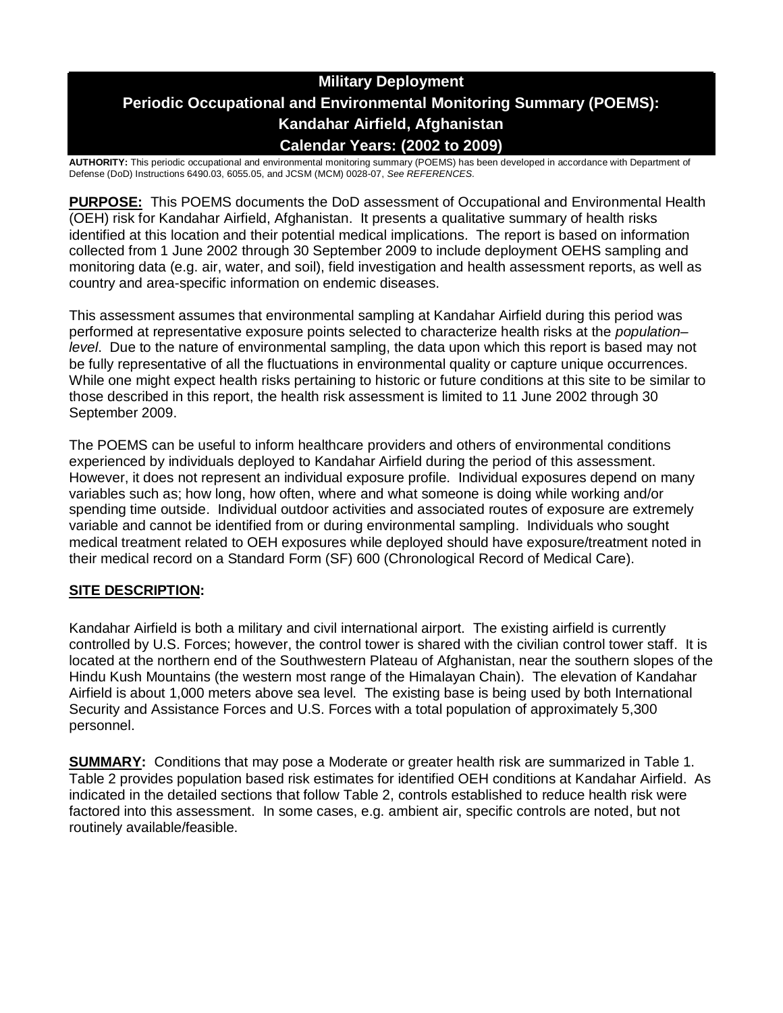# **Military Deployment Periodic Occupational and Environmental Monitoring Summary (POEMS): Kandahar Airfield, Afghanistan Calendar Years: (2002 to 2009)**

**AUTHORITY:** This periodic occupational and environmental monitoring summary (POEMS) has been developed in accordance with Department of Defense (DoD) Instructions 6490.03, 6055.05, and JCSM (MCM) 0028-07, *See REFERENCES.*

**PURPOSE:** This POEMS documents the DoD assessment of Occupational and Environmental Health (OEH) risk for Kandahar Airfield, Afghanistan. It presents a qualitative summary of health risks identified at this location and their potential medical implications. The report is based on information collected from 1 June 2002 through 30 September 2009 to include deployment OEHS sampling and monitoring data (e.g. air, water, and soil), field investigation and health assessment reports, as well as country and area-specific information on endemic diseases.

This assessment assumes that environmental sampling at Kandahar Airfield during this period was performed at representative exposure points selected to characterize health risks at the *population– level*. Due to the nature of environmental sampling, the data upon which this report is based may not be fully representative of all the fluctuations in environmental quality or capture unique occurrences. While one might expect health risks pertaining to historic or future conditions at this site to be similar to those described in this report, the health risk assessment is limited to 11 June 2002 through 30 September 2009.

The POEMS can be useful to inform healthcare providers and others of environmental conditions experienced by individuals deployed to Kandahar Airfield during the period of this assessment. However, it does not represent an individual exposure profile. Individual exposures depend on many variables such as; how long, how often, where and what someone is doing while working and/or spending time outside. Individual outdoor activities and associated routes of exposure are extremely variable and cannot be identified from or during environmental sampling. Individuals who sought medical treatment related to OEH exposures while deployed should have exposure/treatment noted in their medical record on a Standard Form (SF) 600 (Chronological Record of Medical Care).

# **SITE DESCRIPTION:**

Kandahar Airfield is both a military and civil international airport. The existing airfield is currently controlled by U.S. Forces; however, the control tower is shared with the civilian control tower staff. It is located at the northern end of the Southwestern Plateau of Afghanistan, near the southern slopes of the Hindu Kush Mountains (the western most range of the Himalayan Chain). The elevation of Kandahar Airfield is about 1,000 meters above sea level. The existing base is being used by both International Security and Assistance Forces and U.S. Forces with a total population of approximately 5,300 personnel.

**SUMMARY:** Conditions that may pose a Moderate or greater health risk are summarized in Table 1. Table 2 provides population based risk estimates for identified OEH conditions at Kandahar Airfield. As indicated in the detailed sections that follow Table 2, controls established to reduce health risk were factored into this assessment. In some cases, e.g. ambient air, specific controls are noted, but not routinely available/feasible.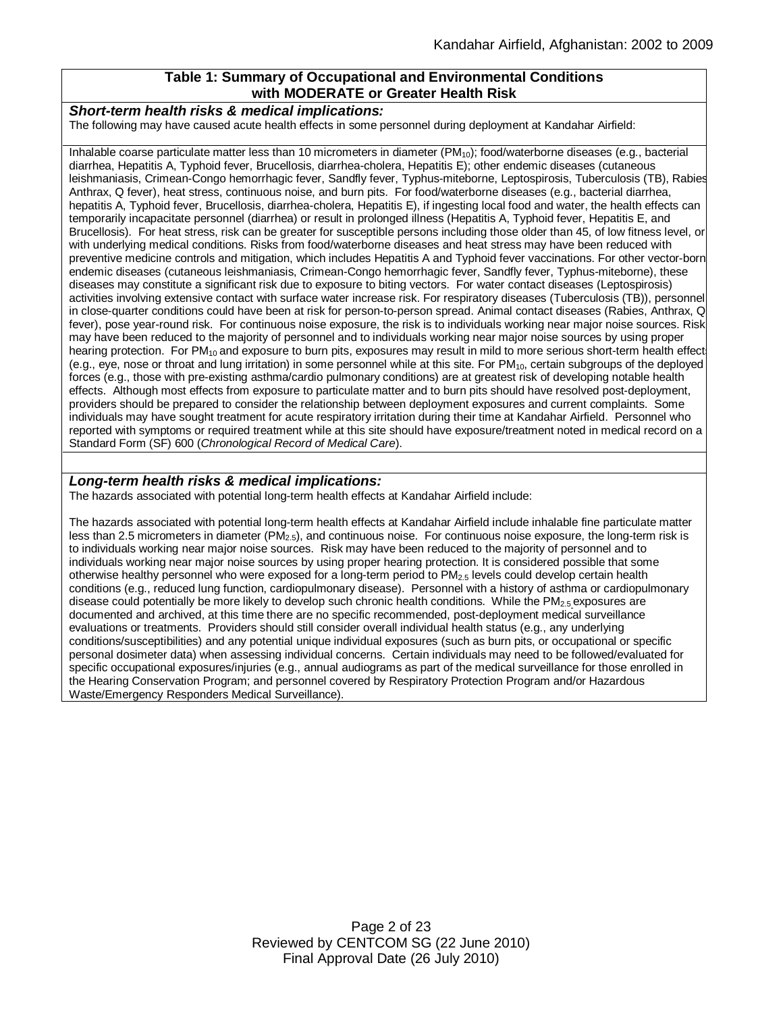# **Table 1: Summary of Occupational and Environmental Conditions with MODERATE or Greater Health Risk**

#### *Short-term health risks & medical implications:*

The following may have caused acute health effects in some personnel during deployment at Kandahar Airfield:

Inhalable coarse particulate matter less than 10 micrometers in diameter  $(PM_{10})$ ; food/waterborne diseases (e.g., bacterial diarrhea, Hepatitis A, Typhoid fever, Brucellosis, diarrhea-cholera, Hepatitis E); other endemic diseases (cutaneous leishmaniasis, Crimean-Congo hemorrhagic fever, Sandfly fever, Typhus-miteborne, Leptospirosis, Tuberculosis (TB), Rabies, Anthrax, Q fever), heat stress, continuous noise, and burn pits. For food/waterborne diseases (e.g., bacterial diarrhea, hepatitis A, Typhoid fever, Brucellosis, diarrhea-cholera, Hepatitis E), if ingesting local food and water, the health effects can temporarily incapacitate personnel (diarrhea) or result in prolonged illness (Hepatitis A, Typhoid fever, Hepatitis E, and Brucellosis). For heat stress, risk can be greater for susceptible persons including those older than 45, of low fitness level, or with underlying medical conditions. Risks from food/waterborne diseases and heat stress may have been reduced with preventive medicine controls and mitigation, which includes Hepatitis A and Typhoid fever vaccinations. For other vector-borne endemic diseases (cutaneous leishmaniasis, Crimean-Congo hemorrhagic fever, Sandfly fever, Typhus-miteborne), these diseases may constitute a significant risk due to exposure to biting vectors. For water contact diseases (Leptospirosis) activities involving extensive contact with surface water increase risk. For respiratory diseases (Tuberculosis (TB)), personnel in close-quarter conditions could have been at risk for person-to-person spread. Animal contact diseases (Rabies, Anthrax, Q fever), pose year-round risk. For continuous noise exposure, the risk is to individuals working near major noise sources. Risk may have been reduced to the majority of personnel and to individuals working near major noise sources by using proper hearing protection. For PM<sub>10</sub> and exposure to burn pits, exposures may result in mild to more serious short-term health effect (e.g., eye, nose or throat and lung irritation) in some personnel while at this site. For  $PM_{10}$ , certain subgroups of the deployed forces (e.g., those with pre-existing asthma/cardio pulmonary conditions) are at greatest risk of developing notable health effects. Although most effects from exposure to particulate matter and to burn pits should have resolved post-deployment, providers should be prepared to consider the relationship between deployment exposures and current complaints. Some individuals may have sought treatment for acute respiratory irritation during their time at Kandahar Airfield. Personnel who reported with symptoms or required treatment while at this site should have exposure/treatment noted in medical record on a Standard Form (SF) 600 (*Chronological Record of Medical Care*).

#### *Long-term health risks & medical implications:*

The hazards associated with potential long-term health effects at Kandahar Airfield include:

The hazards associated with potential long-term health effects at Kandahar Airfield include inhalable fine particulate matter less than 2.5 micrometers in diameter  $(PM_{2.5})$ , and continuous noise. For continuous noise exposure, the long-term risk is to individuals working near major noise sources. Risk may have been reduced to the majority of personnel and to individuals working near major noise sources by using proper hearing protection. It is considered possible that some otherwise healthy personnel who were exposed for a long-term period to PM2.5 levels could develop certain health conditions (e.g., reduced lung function, cardiopulmonary disease). Personnel with a history of asthma or cardiopulmonary disease could potentially be more likely to develop such chronic health conditions. While the PM<sub>2.5</sub> exposures are documented and archived, at this time there are no specific recommended, post-deployment medical surveillance evaluations or treatments. Providers should still consider overall individual health status (e.g., any underlying conditions/susceptibilities) and any potential unique individual exposures (such as burn pits, or occupational or specific personal dosimeter data) when assessing individual concerns. Certain individuals may need to be followed/evaluated for specific occupational exposures/injuries (e.g., annual audiograms as part of the medical surveillance for those enrolled in the Hearing Conservation Program; and personnel covered by Respiratory Protection Program and/or Hazardous Waste/Emergency Responders Medical Surveillance).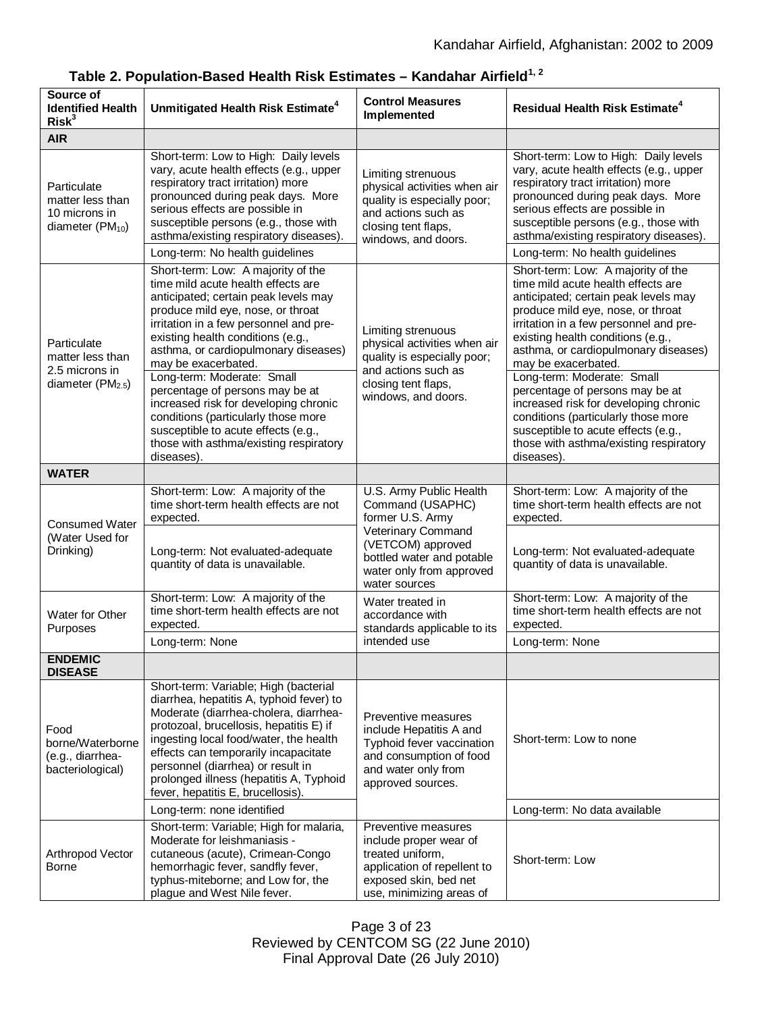| Source of<br><b>Identified Health</b><br>Risk <sup>3</sup>                       | Unmitigated Health Risk Estimate <sup>4</sup>                                                                                                                                                                                                                                                                                                                                                                                                                                                                 | <b>Control Measures</b><br>Implemented                                                                                                                 | <b>Residual Health Risk Estimate<sup>4</sup></b>                                                                                                                                                                                                                                                                                                                                                                                                                                                              |
|----------------------------------------------------------------------------------|---------------------------------------------------------------------------------------------------------------------------------------------------------------------------------------------------------------------------------------------------------------------------------------------------------------------------------------------------------------------------------------------------------------------------------------------------------------------------------------------------------------|--------------------------------------------------------------------------------------------------------------------------------------------------------|---------------------------------------------------------------------------------------------------------------------------------------------------------------------------------------------------------------------------------------------------------------------------------------------------------------------------------------------------------------------------------------------------------------------------------------------------------------------------------------------------------------|
| <b>AIR</b>                                                                       |                                                                                                                                                                                                                                                                                                                                                                                                                                                                                                               |                                                                                                                                                        |                                                                                                                                                                                                                                                                                                                                                                                                                                                                                                               |
| Particulate<br>matter less than<br>10 microns in<br>diameter (PM <sub>10</sub> ) | Short-term: Low to High: Daily levels<br>vary, acute health effects (e.g., upper<br>respiratory tract irritation) more<br>pronounced during peak days. More<br>serious effects are possible in<br>susceptible persons (e.g., those with<br>asthma/existing respiratory diseases).<br>Long-term: No health guidelines                                                                                                                                                                                          | Limiting strenuous<br>physical activities when air<br>quality is especially poor;<br>and actions such as<br>closing tent flaps,<br>windows, and doors. | Short-term: Low to High: Daily levels<br>vary, acute health effects (e.g., upper<br>respiratory tract irritation) more<br>pronounced during peak days. More<br>serious effects are possible in<br>susceptible persons (e.g., those with<br>asthma/existing respiratory diseases).<br>Long-term: No health guidelines                                                                                                                                                                                          |
|                                                                                  | Short-term: Low: A majority of the                                                                                                                                                                                                                                                                                                                                                                                                                                                                            |                                                                                                                                                        | Short-term: Low: A majority of the                                                                                                                                                                                                                                                                                                                                                                                                                                                                            |
| Particulate<br>matter less than<br>2.5 microns in<br>diameter $(PM2.5)$          | time mild acute health effects are<br>anticipated; certain peak levels may<br>produce mild eye, nose, or throat<br>irritation in a few personnel and pre-<br>existing health conditions (e.g.,<br>asthma, or cardiopulmonary diseases)<br>may be exacerbated.<br>Long-term: Moderate: Small<br>percentage of persons may be at<br>increased risk for developing chronic<br>conditions (particularly those more<br>susceptible to acute effects (e.g.,<br>those with asthma/existing respiratory<br>diseases). | Limiting strenuous<br>physical activities when air<br>quality is especially poor;<br>and actions such as<br>closing tent flaps,<br>windows, and doors. | time mild acute health effects are<br>anticipated; certain peak levels may<br>produce mild eye, nose, or throat<br>irritation in a few personnel and pre-<br>existing health conditions (e.g.,<br>asthma, or cardiopulmonary diseases)<br>may be exacerbated.<br>Long-term: Moderate: Small<br>percentage of persons may be at<br>increased risk for developing chronic<br>conditions (particularly those more<br>susceptible to acute effects (e.g.,<br>those with asthma/existing respiratory<br>diseases). |
| <b>WATER</b>                                                                     |                                                                                                                                                                                                                                                                                                                                                                                                                                                                                                               |                                                                                                                                                        |                                                                                                                                                                                                                                                                                                                                                                                                                                                                                                               |
| <b>Consumed Water</b><br>(Water Used for<br>Drinking)                            | Short-term: Low: A majority of the<br>time short-term health effects are not<br>expected.<br>Long-term: Not evaluated-adequate<br>quantity of data is unavailable.                                                                                                                                                                                                                                                                                                                                            | U.S. Army Public Health<br>Command (USAPHC)<br>former U.S. Army<br>Veterinary Command<br>(VETCOM) approved<br>bottled water and potable                | Short-term: Low: A majority of the<br>time short-term health effects are not<br>expected.<br>Long-term: Not evaluated-adequate<br>quantity of data is unavailable.                                                                                                                                                                                                                                                                                                                                            |
|                                                                                  |                                                                                                                                                                                                                                                                                                                                                                                                                                                                                                               | water only from approved<br>water sources                                                                                                              |                                                                                                                                                                                                                                                                                                                                                                                                                                                                                                               |
| Water for Other<br>Purposes                                                      | Short-term: Low: A majority of the<br>time short-term health effects are not<br>expected.                                                                                                                                                                                                                                                                                                                                                                                                                     | Water treated in<br>accordance with<br>standards applicable to its<br>intended use                                                                     | Short-term: Low: A majority of the<br>time short-term health effects are not<br>expected.                                                                                                                                                                                                                                                                                                                                                                                                                     |
|                                                                                  | Long-term: None                                                                                                                                                                                                                                                                                                                                                                                                                                                                                               |                                                                                                                                                        | Long-term: None                                                                                                                                                                                                                                                                                                                                                                                                                                                                                               |
| <b>ENDEMIC</b><br><b>DISEASE</b>                                                 |                                                                                                                                                                                                                                                                                                                                                                                                                                                                                                               |                                                                                                                                                        |                                                                                                                                                                                                                                                                                                                                                                                                                                                                                                               |
| Food<br>borne/Waterborne<br>(e.g., diarrhea-<br>bacteriological)                 | Short-term: Variable; High (bacterial<br>diarrhea, hepatitis A, typhoid fever) to<br>Moderate (diarrhea-cholera, diarrhea-<br>protozoal, brucellosis, hepatitis E) if<br>ingesting local food/water, the health<br>effects can temporarily incapacitate<br>personnel (diarrhea) or result in<br>prolonged illness (hepatitis A, Typhoid<br>fever, hepatitis E, brucellosis).                                                                                                                                  | Preventive measures<br>include Hepatitis A and<br>Typhoid fever vaccination<br>and consumption of food<br>and water only from<br>approved sources.     | Short-term: Low to none                                                                                                                                                                                                                                                                                                                                                                                                                                                                                       |
|                                                                                  | Long-term: none identified                                                                                                                                                                                                                                                                                                                                                                                                                                                                                    |                                                                                                                                                        | Long-term: No data available                                                                                                                                                                                                                                                                                                                                                                                                                                                                                  |
| Arthropod Vector<br>Borne                                                        | Short-term: Variable; High for malaria,<br>Moderate for leishmaniasis -<br>cutaneous (acute), Crimean-Congo<br>hemorrhagic fever, sandfly fever,<br>typhus-miteborne; and Low for, the<br>plague and West Nile fever.                                                                                                                                                                                                                                                                                         | Preventive measures<br>include proper wear of<br>treated uniform,<br>application of repellent to<br>exposed skin, bed net<br>use, minimizing areas of  | Short-term: Low                                                                                                                                                                                                                                                                                                                                                                                                                                                                                               |

**Table 2. Population-Based Health Risk Estimates – Kandahar Airfield1, 2**

Page 3 of 23 Reviewed by CENTCOM SG (22 June 2010) Final Approval Date (26 July 2010)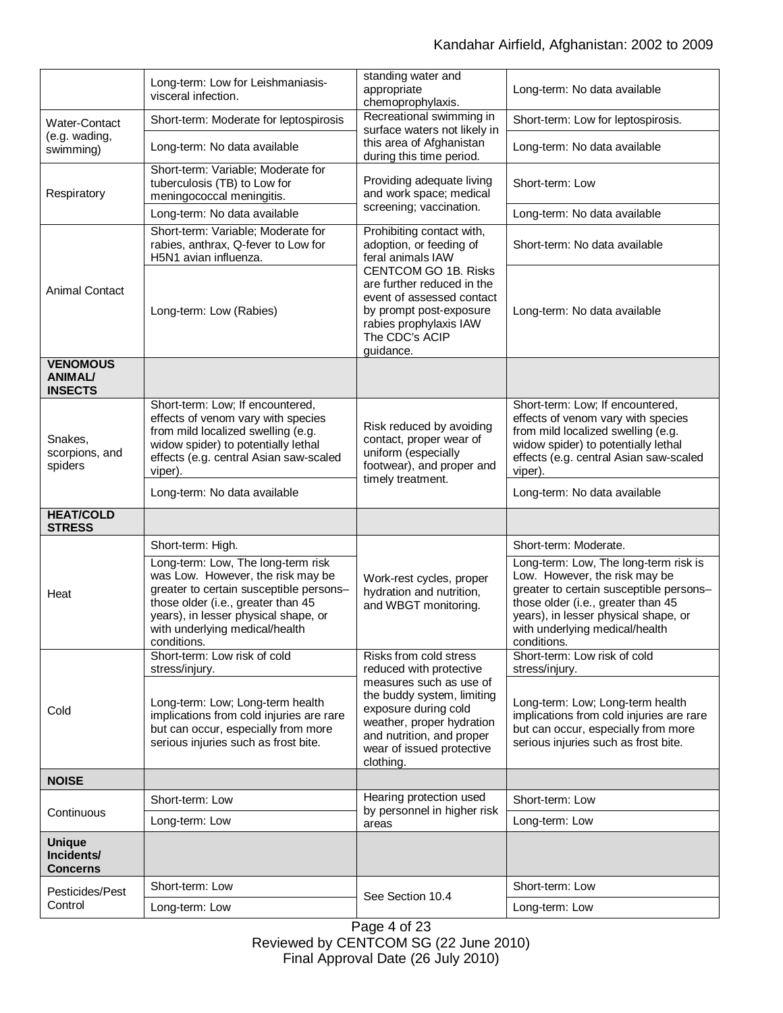|                                                     | Long-term: Low for Leishmaniasis-<br>visceral infection.                                                                                                                                                                                          | standing water and<br>appropriate<br>chemoprophylaxis.                                                                                                                                                                                                  | Long-term: No data available                                                                                                                                                                                                                     |
|-----------------------------------------------------|---------------------------------------------------------------------------------------------------------------------------------------------------------------------------------------------------------------------------------------------------|---------------------------------------------------------------------------------------------------------------------------------------------------------------------------------------------------------------------------------------------------------|--------------------------------------------------------------------------------------------------------------------------------------------------------------------------------------------------------------------------------------------------|
| Water-Contact<br>(e.g. wading,<br>swimming)         | Short-term: Moderate for leptospirosis                                                                                                                                                                                                            | Recreational swimming in<br>surface waters not likely in                                                                                                                                                                                                | Short-term: Low for leptospirosis.                                                                                                                                                                                                               |
|                                                     | Long-term: No data available                                                                                                                                                                                                                      | this area of Afghanistan<br>during this time period.                                                                                                                                                                                                    | Long-term: No data available                                                                                                                                                                                                                     |
| Respiratory                                         | Short-term: Variable; Moderate for<br>tuberculosis (TB) to Low for<br>meningococcal meningitis.                                                                                                                                                   | Providing adequate living<br>and work space; medical<br>screening; vaccination.                                                                                                                                                                         | Short-term: Low                                                                                                                                                                                                                                  |
|                                                     | Long-term: No data available                                                                                                                                                                                                                      |                                                                                                                                                                                                                                                         | Long-term: No data available                                                                                                                                                                                                                     |
| <b>Animal Contact</b>                               | Short-term: Variable; Moderate for<br>rabies, anthrax, Q-fever to Low for<br>H5N1 avian influenza.                                                                                                                                                | Prohibiting contact with,<br>adoption, or feeding of<br>feral animals IAW<br><b>CENTCOM GO 1B. Risks</b><br>are further reduced in the<br>event of assessed contact<br>by prompt post-exposure<br>rabies prophylaxis IAW<br>The CDC's ACIP<br>guidance. | Short-term: No data available                                                                                                                                                                                                                    |
|                                                     | Long-term: Low (Rabies)                                                                                                                                                                                                                           |                                                                                                                                                                                                                                                         | Long-term: No data available                                                                                                                                                                                                                     |
| <b>VENOMOUS</b><br><b>ANIMAL/</b><br><b>INSECTS</b> |                                                                                                                                                                                                                                                   |                                                                                                                                                                                                                                                         |                                                                                                                                                                                                                                                  |
| Snakes.<br>scorpions, and<br>spiders                | Short-term: Low; If encountered,<br>effects of venom vary with species<br>from mild localized swelling (e.g.<br>widow spider) to potentially lethal<br>effects (e.g. central Asian saw-scaled<br>viper).                                          | Risk reduced by avoiding<br>contact, proper wear of<br>uniform (especially<br>footwear), and proper and<br>timely treatment.                                                                                                                            | Short-term: Low; If encountered,<br>effects of venom vary with species<br>from mild localized swelling (e.g.<br>widow spider) to potentially lethal<br>effects (e.g. central Asian saw-scaled<br>viper).                                         |
|                                                     | Long-term: No data available                                                                                                                                                                                                                      |                                                                                                                                                                                                                                                         | Long-term: No data available                                                                                                                                                                                                                     |
| <b>HEAT/COLD</b><br><b>STRESS</b>                   |                                                                                                                                                                                                                                                   |                                                                                                                                                                                                                                                         |                                                                                                                                                                                                                                                  |
| Heat                                                | Short-term: High.                                                                                                                                                                                                                                 | Work-rest cycles, proper<br>hydration and nutrition,<br>and WBGT monitoring.                                                                                                                                                                            | Short-term: Moderate.                                                                                                                                                                                                                            |
|                                                     | Long-term: Low, The long-term risk<br>was Low. However, the risk may be<br>greater to certain susceptible persons-<br>those older (i.e., greater than 45<br>years), in lesser physical shape, or<br>with underlying medical/health<br>conditions. |                                                                                                                                                                                                                                                         | Long-term: Low, The long-term risk is<br>Low. However, the risk may be<br>greater to certain susceptible persons-<br>those older (i.e., greater than 45<br>years), in lesser physical shape, or<br>with underlying medical/health<br>conditions. |
| Cold                                                | Short-term: Low risk of cold<br>stress/injury.                                                                                                                                                                                                    | Risks from cold stress<br>reduced with protective                                                                                                                                                                                                       | Short-term: Low risk of cold<br>stress/injury.                                                                                                                                                                                                   |
|                                                     | Long-term: Low; Long-term health<br>implications from cold injuries are rare<br>but can occur, especially from more<br>serious injuries such as frost bite.                                                                                       | measures such as use of<br>the buddy system, limiting<br>exposure during cold<br>weather, proper hydration<br>and nutrition, and proper<br>wear of issued protective<br>clothing.                                                                       | Long-term: Low; Long-term health<br>implications from cold injuries are rare<br>but can occur, especially from more<br>serious injuries such as frost bite.                                                                                      |
| <b>NOISE</b>                                        |                                                                                                                                                                                                                                                   |                                                                                                                                                                                                                                                         |                                                                                                                                                                                                                                                  |
| Continuous                                          | Short-term: Low                                                                                                                                                                                                                                   | Hearing protection used<br>by personnel in higher risk<br>areas                                                                                                                                                                                         | Short-term: Low                                                                                                                                                                                                                                  |
|                                                     | Long-term: Low                                                                                                                                                                                                                                    |                                                                                                                                                                                                                                                         | Long-term: Low                                                                                                                                                                                                                                   |
| <b>Unique</b><br>Incidents/<br><b>Concerns</b>      |                                                                                                                                                                                                                                                   |                                                                                                                                                                                                                                                         |                                                                                                                                                                                                                                                  |
| Pesticides/Pest<br>Control                          | Short-term: Low                                                                                                                                                                                                                                   | See Section 10.4                                                                                                                                                                                                                                        | Short-term: Low                                                                                                                                                                                                                                  |
|                                                     | Long-term: Low                                                                                                                                                                                                                                    |                                                                                                                                                                                                                                                         | Long-term: Low                                                                                                                                                                                                                                   |

Page 4 of 23 Reviewed by CENTCOM SG (22 June 2010) Final Approval Date (26 July 2010)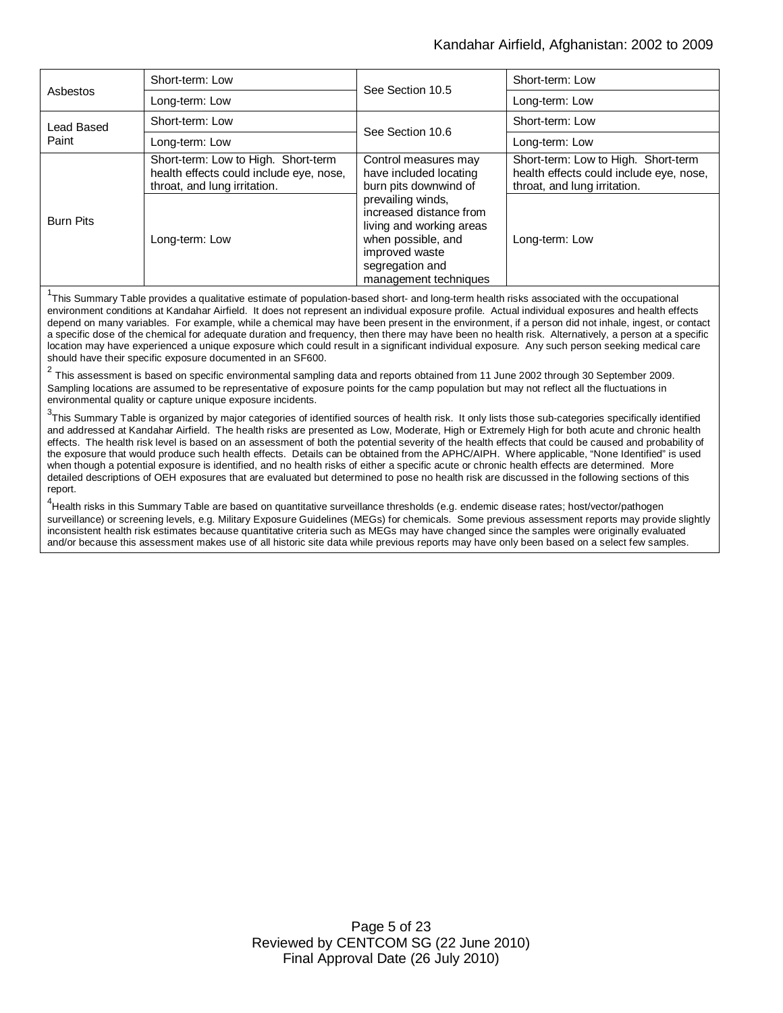### Kandahar Airfield, Afghanistan: 2002 to 2009

| Asbestos            | Short-term: Low                                                                                                | See Section 10.5                                                                                                                                                                                                                        | Short-term: Low                                                                                                |
|---------------------|----------------------------------------------------------------------------------------------------------------|-----------------------------------------------------------------------------------------------------------------------------------------------------------------------------------------------------------------------------------------|----------------------------------------------------------------------------------------------------------------|
|                     | Long-term: Low                                                                                                 |                                                                                                                                                                                                                                         | Long-term: Low                                                                                                 |
| Lead Based<br>Paint | Short-term: Low                                                                                                | See Section 10.6                                                                                                                                                                                                                        | Short-term: Low                                                                                                |
|                     | Long-term: Low                                                                                                 |                                                                                                                                                                                                                                         | Long-term: Low                                                                                                 |
| <b>Burn Pits</b>    | Short-term: Low to High. Short-term<br>health effects could include eye, nose,<br>throat, and lung irritation. | Control measures may<br>have included locating<br>burn pits downwind of<br>prevailing winds,<br>increased distance from<br>living and working areas<br>when possible, and<br>improved waste<br>segregation and<br>management techniques | Short-term: Low to High. Short-term<br>health effects could include eye, nose,<br>throat, and lung irritation. |
|                     | Long-term: Low                                                                                                 |                                                                                                                                                                                                                                         | Long-term: Low                                                                                                 |

<sup>1</sup>This Summary Table provides a qualitative estimate of population-based short- and long-term health risks associated with the occupational environment conditions at Kandahar Airfield. It does not represent an individual exposure profile. Actual individual exposures and health effects depend on many variables. For example, while a chemical may have been present in the environment, if a person did not inhale, ingest, or contact a specific dose of the chemical for adequate duration and frequency, then there may have been no health risk. Alternatively, a person at a specific location may have experienced a unique exposure which could result in a significant individual exposure. Any such person seeking medical care should have their specific exposure documented in an SF600.

2 This assessment is based on specific environmental sampling data and reports obtained from 11 June 2002 through 30 September 2009. Sampling locations are assumed to be representative of exposure points for the camp population but may not reflect all the fluctuations in environmental quality or capture unique exposure incidents.

<sup>3</sup>This Summary Table is organized by major categories of identified sources of health risk. It only lists those sub-categories specifically identified and addressed at Kandahar Airfield. The health risks are presented as Low, Moderate, High or Extremely High for both acute and chronic health effects. The health risk level is based on an assessment of both the potential severity of the health effects that could be caused and probability of the exposure that would produce such health effects. Details can be obtained from the APHC/AIPH. Where applicable, "None Identified" is used when though a potential exposure is identified, and no health risks of either a specific acute or chronic health effects are determined. More detailed descriptions of OEH exposures that are evaluated but determined to pose no health risk are discussed in the following sections of this report.

<sup>4</sup>Health risks in this Summary Table are based on quantitative surveillance thresholds (e.g. endemic disease rates; host/vector/pathogen surveillance) or screening levels, e.g. Military Exposure Guidelines (MEGs) for chemicals*.* Some previous assessment reports may provide slightly inconsistent health risk estimates because quantitative criteria such as MEGs may have changed since the samples were originally evaluated and/or because this assessment makes use of all historic site data while previous reports may have only been based on a select few samples.

> Page 5 of 23 Reviewed by CENTCOM SG (22 June 2010) Final Approval Date (26 July 2010)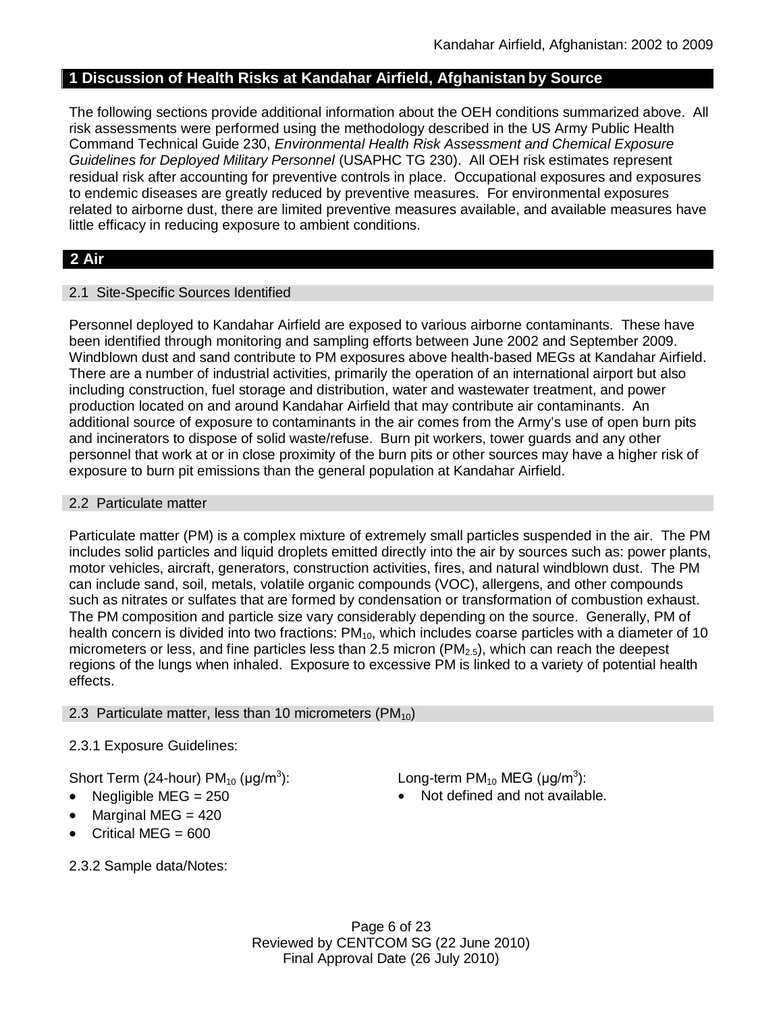# **1 Discussion of Health Risks at Kandahar Airfield, Afghanistan by Source**

The following sections provide additional information about the OEH conditions summarized above. All risk assessments were performed using the methodology described in the US Army Public Health Command Technical Guide 230, *Environmental Health Risk Assessment and Chemical Exposure Guidelines for Deployed Military Personnel* (USAPHC TG 230). All OEH risk estimates represent residual risk after accounting for preventive controls in place. Occupational exposures and exposures to endemic diseases are greatly reduced by preventive measures. For environmental exposures related to airborne dust, there are limited preventive measures available, and available measures have little efficacy in reducing exposure to ambient conditions.

# **2 Air**

# 2.1 Site-Specific Sources Identified

Personnel deployed to Kandahar Airfield are exposed to various airborne contaminants. These have been identified through monitoring and sampling efforts between June 2002 and September 2009. Windblown dust and sand contribute to PM exposures above health-based MEGs at Kandahar Airfield. There are a number of industrial activities, primarily the operation of an international airport but also including construction, fuel storage and distribution, water and wastewater treatment, and power production located on and around Kandahar Airfield that may contribute air contaminants. An additional source of exposure to contaminants in the air comes from the Army's use of open burn pits and incinerators to dispose of solid waste/refuse. Burn pit workers, tower guards and any other personnel that work at or in close proximity of the burn pits or other sources may have a higher risk of exposure to burn pit emissions than the general population at Kandahar Airfield.

# 2.2 Particulate matter

Particulate matter (PM) is a complex mixture of extremely small particles suspended in the air. The PM includes solid particles and liquid droplets emitted directly into the air by sources such as: power plants, motor vehicles, aircraft, generators, construction activities, fires, and natural windblown dust. The PM can include sand, soil, metals, volatile organic compounds (VOC), allergens, and other compounds such as nitrates or sulfates that are formed by condensation or transformation of combustion exhaust. The PM composition and particle size vary considerably depending on the source. Generally, PM of health concern is divided into two fractions: PM<sub>10</sub>, which includes coarse particles with a diameter of 10 micrometers or less, and fine particles less than 2.5 micron ( $PM<sub>2.5</sub>$ ), which can reach the deepest regions of the lungs when inhaled. Exposure to excessive PM is linked to a variety of potential health effects.

# 2.3 Particulate matter, less than 10 micrometers ( $PM_{10}$ )

# 2.3.1 Exposure Guidelines:

Short Term (24-hour) PM $_{10}$  (µg/m $^3$ 

- 
- Marginal MEG  $= 420$
- Critical MEG  $= 600$
- ): Long-term PM<sub>10</sub> MEG (µg/m<sup>3</sup>):
- Negligible  $MEG = 250$  **Not defined and not available.**
- 2.3.2 Sample data/Notes:

Page 6 of 23 Reviewed by CENTCOM SG (22 June 2010) Final Approval Date (26 July 2010)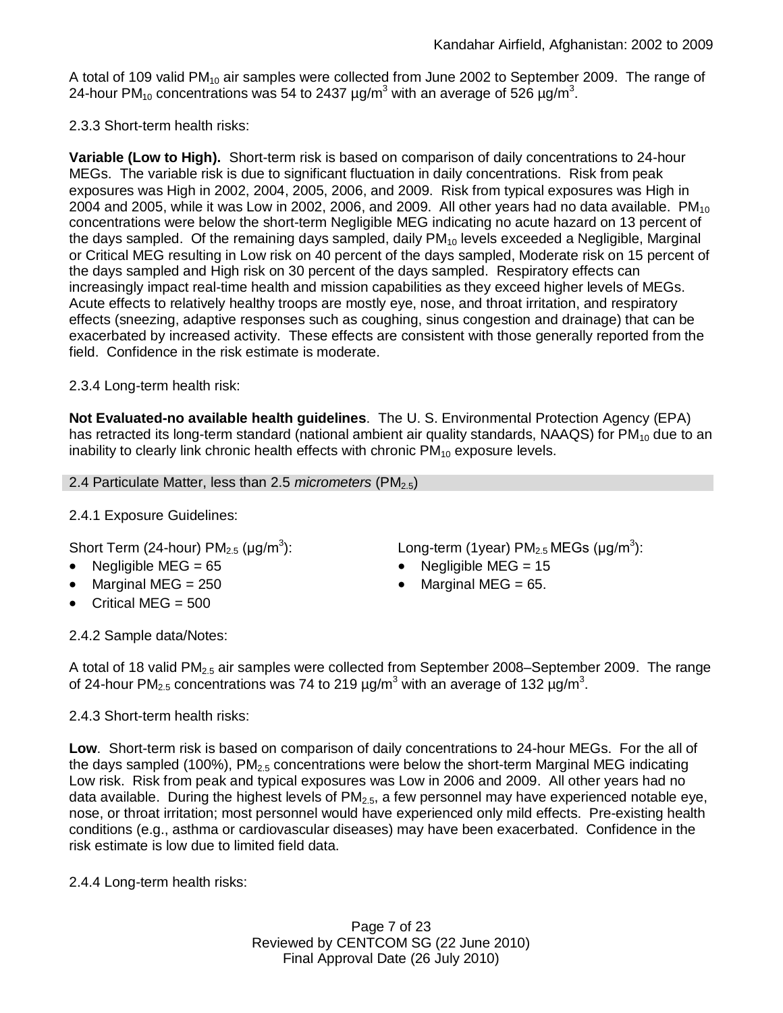A total of 109 valid PM<sub>10</sub> air samples were collected from June 2002 to September 2009. The range of 24-hour PM<sub>10</sub> concentrations was 54 to 2437  $\mu$ g/m $^3$  with an average of 526  $\mu$ g/m $^3$ .

2.3.3 Short-term health risks:

**Variable (Low to High).** Short-term risk is based on comparison of daily concentrations to 24-hour MEGs. The variable risk is due to significant fluctuation in daily concentrations. Risk from peak exposures was High in 2002, 2004, 2005, 2006, and 2009. Risk from typical exposures was High in 2004 and 2005, while it was Low in 2002, 2006, and 2009. All other years had no data available.  $PM_{10}$ concentrations were below the short-term Negligible MEG indicating no acute hazard on 13 percent of the days sampled. Of the remaining days sampled, daily  $PM_{10}$  levels exceeded a Negligible, Marginal or Critical MEG resulting in Low risk on 40 percent of the days sampled, Moderate risk on 15 percent of the days sampled and High risk on 30 percent of the days sampled. Respiratory effects can increasingly impact real-time health and mission capabilities as they exceed higher levels of MEGs. Acute effects to relatively healthy troops are mostly eye, nose, and throat irritation, and respiratory effects (sneezing, adaptive responses such as coughing, sinus congestion and drainage) that can be exacerbated by increased activity. These effects are consistent with those generally reported from the field. Confidence in the risk estimate is moderate.

# 2.3.4 Long-term health risk:

**Not Evaluated-no available health guidelines**. The U. S. Environmental Protection Agency (EPA) has retracted its long-term standard (national ambient air quality standards, NAAQS) for  $PM_{10}$  due to an inability to clearly link chronic health effects with chronic  $PM_{10}$  exposure levels.

2.4 Particulate Matter, less than 2.5 *micrometers* (PM<sub>2.5</sub>)

# 2.4.1 Exposure Guidelines:

Short Term (24-hour) PM $_{2.5}$  (µg/m $^3$ 

- Negligible MEG = 65 Negligible MEG = 15
- Marginal MEG =  $250$   $\bullet$  Marginal MEG =  $65$ .
- Critical MEG  $= 500$

): Long-term (1year)  $PM_{2.5}$  MEGs (µg/m<sup>3</sup>):

- 
- 

2.4.2 Sample data/Notes:

A total of 18 valid PM<sub>2.5</sub> air samples were collected from September 2008–September 2009. The range of 24-hour PM<sub>2.5</sub> concentrations was 74 to 219  $\mu$ g/m<sup>3</sup> with an average of 132  $\mu$ g/m<sup>3</sup>.

# 2.4.3 Short-term health risks:

**Low**. Short-term risk is based on comparison of daily concentrations to 24-hour MEGs. For the all of the days sampled (100%),  $PM<sub>2.5</sub>$  concentrations were below the short-term Marginal MEG indicating Low risk. Risk from peak and typical exposures was Low in 2006 and 2009. All other years had no data available. During the highest levels of  $PM<sub>2.5</sub>$ , a few personnel may have experienced notable eve. nose, or throat irritation; most personnel would have experienced only mild effects. Pre-existing health conditions (e.g., asthma or cardiovascular diseases) may have been exacerbated. Confidence in the risk estimate is low due to limited field data.

2.4.4 Long-term health risks:

Page 7 of 23 Reviewed by CENTCOM SG (22 June 2010) Final Approval Date (26 July 2010)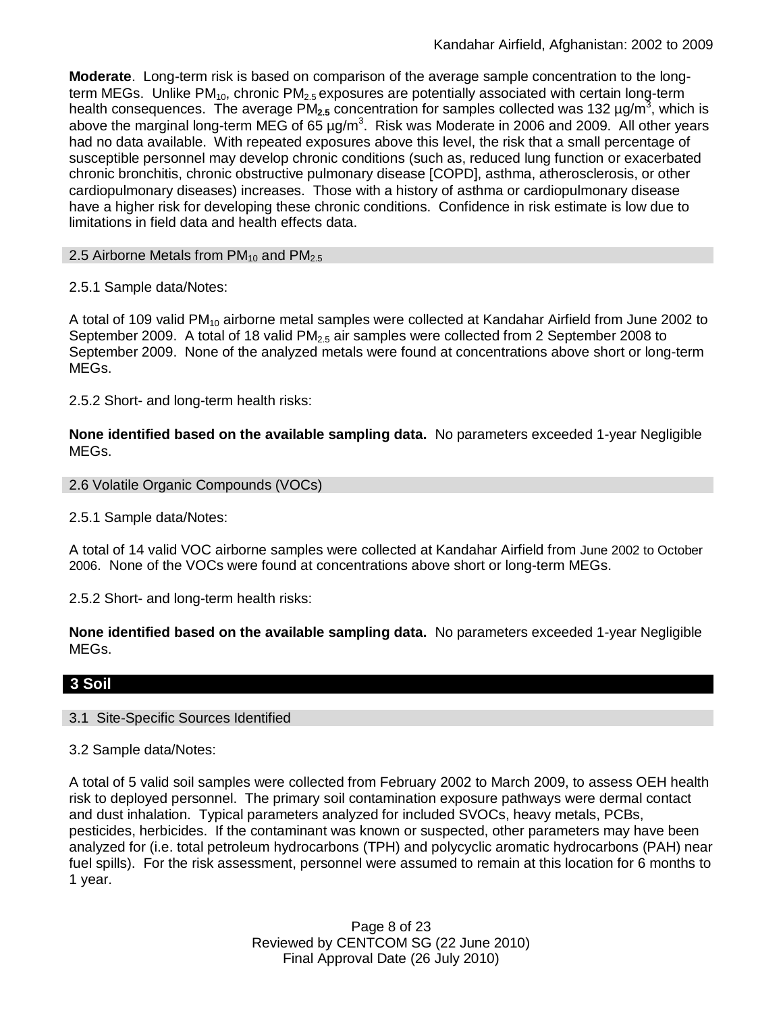**Moderate**. Long-term risk is based on comparison of the average sample concentration to the longterm MEGs. Unlike PM<sub>10</sub>, chronic PM<sub>2.5</sub> exposures are potentially associated with certain long-term health consequences. The average PM<sub>2.5</sub> concentration for samples collected was 132 µg/m<sup>3</sup>, which is above the marginal long-term MEG of 65  $\mu$ g/m<sup>3</sup>. Risk was Moderate in 2006 and 2009. All other years had no data available. With repeated exposures above this level, the risk that a small percentage of susceptible personnel may develop chronic conditions (such as, reduced lung function or exacerbated chronic bronchitis, chronic obstructive pulmonary disease [COPD], asthma, atherosclerosis, or other cardiopulmonary diseases) increases. Those with a history of asthma or cardiopulmonary disease have a higher risk for developing these chronic conditions. Confidence in risk estimate is low due to limitations in field data and health effects data.

### 2.5 Airborne Metals from  $PM_{10}$  and  $PM_{2.5}$

# 2.5.1 Sample data/Notes:

A total of 109 valid PM<sub>10</sub> airborne metal samples were collected at Kandahar Airfield from June 2002 to September 2009. A total of 18 valid  $PM<sub>2.5</sub>$  air samples were collected from 2 September 2008 to September 2009. None of the analyzed metals were found at concentrations above short or long-term MEGs.

2.5.2 Short- and long-term health risks:

**None identified based on the available sampling data.** No parameters exceeded 1-year Negligible MEGs.

2.6 Volatile Organic Compounds (VOCs)

2.5.1 Sample data/Notes:

A total of 14 valid VOC airborne samples were collected at Kandahar Airfield from June 2002 to October 2006. None of the VOCs were found at concentrations above short or long-term MEGs.

2.5.2 Short- and long-term health risks:

**None identified based on the available sampling data.** No parameters exceeded 1-year Negligible MEGs.

# **3 Soil**

### 3.1 Site-Specific Sources Identified

3.2 Sample data/Notes:

A total of 5 valid soil samples were collected from February 2002 to March 2009, to assess OEH health risk to deployed personnel. The primary soil contamination exposure pathways were dermal contact and dust inhalation. Typical parameters analyzed for included SVOCs, heavy metals, PCBs, pesticides, herbicides. If the contaminant was known or suspected, other parameters may have been analyzed for (i.e. total petroleum hydrocarbons (TPH) and polycyclic aromatic hydrocarbons (PAH) near fuel spills). For the risk assessment, personnel were assumed to remain at this location for 6 months to 1 year.

> Page 8 of 23 Reviewed by CENTCOM SG (22 June 2010) Final Approval Date (26 July 2010)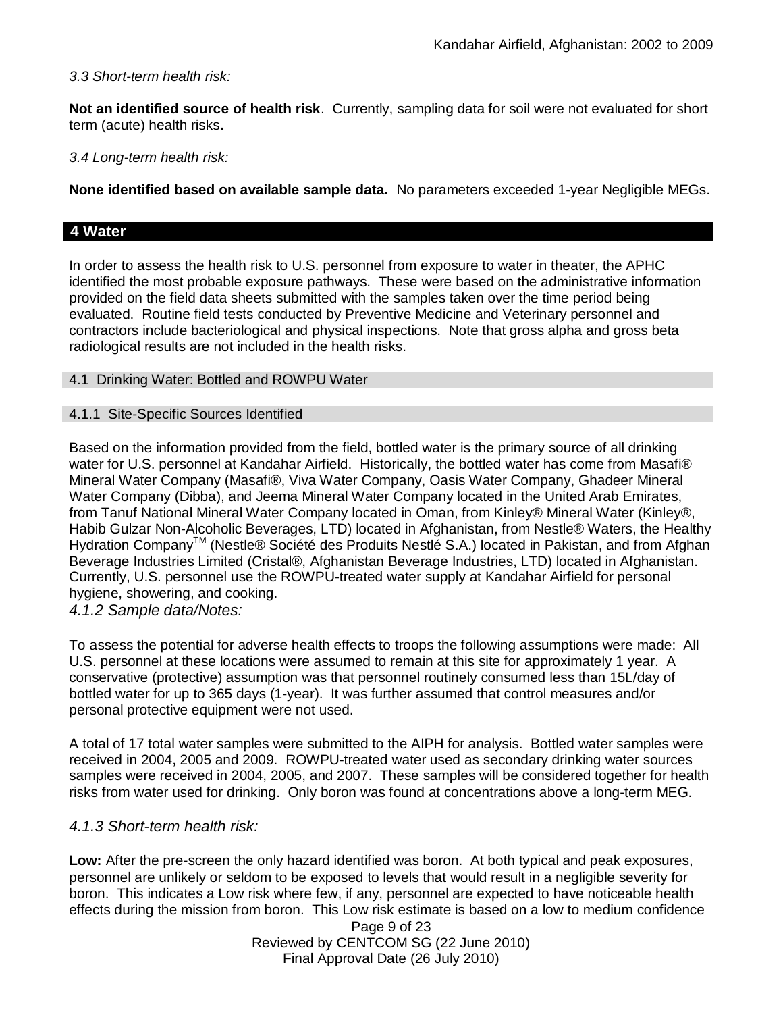# *3.3 Short-term health risk:*

**Not an identified source of health risk**. Currently, sampling data for soil were not evaluated for short term (acute) health risks**.**

*3.4 Long-term health risk:*

**None identified based on available sample data.** No parameters exceeded 1-year Negligible MEGs.

# **4 Water**

In order to assess the health risk to U.S. personnel from exposure to water in theater, the APHC identified the most probable exposure pathways. These were based on the administrative information provided on the field data sheets submitted with the samples taken over the time period being evaluated. Routine field tests conducted by Preventive Medicine and Veterinary personnel and contractors include bacteriological and physical inspections. Note that gross alpha and gross beta radiological results are not included in the health risks.

# 4.1 Drinking Water: Bottled and ROWPU Water

# 4.1.1 Site-Specific Sources Identified

Based on the information provided from the field, bottled water is the primary source of all drinking water for U.S. personnel at Kandahar Airfield. Historically, the bottled water has come from Masafi® Mineral Water Company (Masafi®, Viva Water Company, Oasis Water Company, Ghadeer Mineral Water Company (Dibba), and Jeema Mineral Water Company located in the United Arab Emirates, from Tanuf National Mineral Water Company located in Oman, from Kinley® Mineral Water (Kinley®, Habib Gulzar Non-Alcoholic Beverages, LTD) located in Afghanistan, from Nestle® Waters, the Healthy Hydration Company<sup>™</sup> (Nestle® Société des Produits Nestle S.A.) located in Pakistan, and from Afghan Beverage Industries Limited (Cristal®, Afghanistan Beverage Industries, LTD) located in Afghanistan. Currently, U.S. personnel use the ROWPU-treated water supply at Kandahar Airfield for personal hygiene, showering, and cooking.

*4.1.2 Sample data/Notes:*

To assess the potential for adverse health effects to troops the following assumptions were made: All U.S. personnel at these locations were assumed to remain at this site for approximately 1 year. A conservative (protective) assumption was that personnel routinely consumed less than 15L/day of bottled water for up to 365 days (1-year). It was further assumed that control measures and/or personal protective equipment were not used.

A total of 17 total water samples were submitted to the AIPH for analysis. Bottled water samples were received in 2004, 2005 and 2009. ROWPU-treated water used as secondary drinking water sources samples were received in 2004, 2005, and 2007. These samples will be considered together for health risks from water used for drinking. Only boron was found at concentrations above a long-term MEG.

# *4.1.3 Short-term health risk:*

**Low:** After the pre-screen the only hazard identified was boron. At both typical and peak exposures, personnel are unlikely or seldom to be exposed to levels that would result in a negligible severity for boron. This indicates a Low risk where few, if any, personnel are expected to have noticeable health effects during the mission from boron. This Low risk estimate is based on a low to medium confidence

> Page 9 of 23 Reviewed by CENTCOM SG (22 June 2010) Final Approval Date (26 July 2010)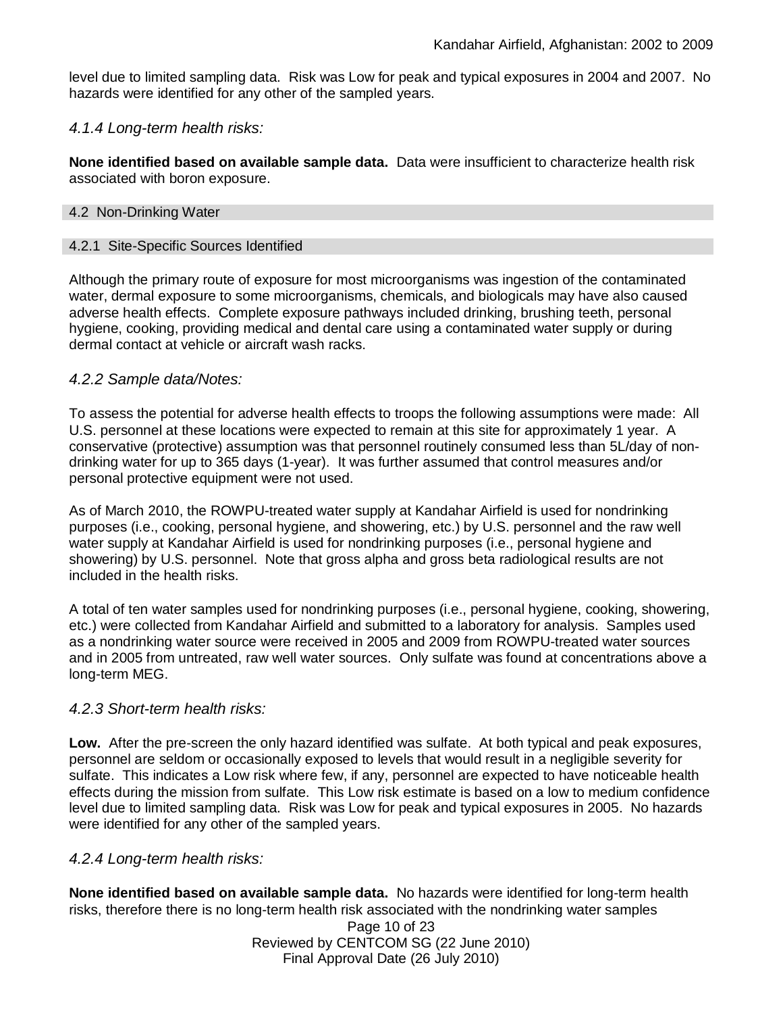level due to limited sampling data. Risk was Low for peak and typical exposures in 2004 and 2007. No hazards were identified for any other of the sampled years.

### *4.1.4 Long-term health risks:*

**None identified based on available sample data.** Data were insufficient to characterize health risk associated with boron exposure.

#### 4.2 Non-Drinking Water

### 4.2.1 Site-Specific Sources Identified

Although the primary route of exposure for most microorganisms was ingestion of the contaminated water, dermal exposure to some microorganisms, chemicals, and biologicals may have also caused adverse health effects. Complete exposure pathways included drinking, brushing teeth, personal hygiene, cooking, providing medical and dental care using a contaminated water supply or during dermal contact at vehicle or aircraft wash racks.

### *4.2.2 Sample data/Notes:*

To assess the potential for adverse health effects to troops the following assumptions were made: All U.S. personnel at these locations were expected to remain at this site for approximately 1 year. A conservative (protective) assumption was that personnel routinely consumed less than 5L/day of nondrinking water for up to 365 days (1-year). It was further assumed that control measures and/or personal protective equipment were not used.

As of March 2010, the ROWPU-treated water supply at Kandahar Airfield is used for nondrinking purposes (i.e., cooking, personal hygiene, and showering, etc.) by U.S. personnel and the raw well water supply at Kandahar Airfield is used for nondrinking purposes (i.e., personal hygiene and showering) by U.S. personnel. Note that gross alpha and gross beta radiological results are not included in the health risks.

A total of ten water samples used for nondrinking purposes (i.e., personal hygiene, cooking, showering, etc.) were collected from Kandahar Airfield and submitted to a laboratory for analysis. Samples used as a nondrinking water source were received in 2005 and 2009 from ROWPU-treated water sources and in 2005 from untreated, raw well water sources. Only sulfate was found at concentrations above a long-term MEG.

### *4.2.3 Short-term health risks:*

**Low.** After the pre-screen the only hazard identified was sulfate. At both typical and peak exposures, personnel are seldom or occasionally exposed to levels that would result in a negligible severity for sulfate. This indicates a Low risk where few, if any, personnel are expected to have noticeable health effects during the mission from sulfate. This Low risk estimate is based on a low to medium confidence level due to limited sampling data. Risk was Low for peak and typical exposures in 2005. No hazards were identified for any other of the sampled years.

### *4.2.4 Long-term health risks:*

**None identified based on available sample data.** No hazards were identified for long-term health risks, therefore there is no long-term health risk associated with the nondrinking water samples

> Page 10 of 23 Reviewed by CENTCOM SG (22 June 2010) Final Approval Date (26 July 2010)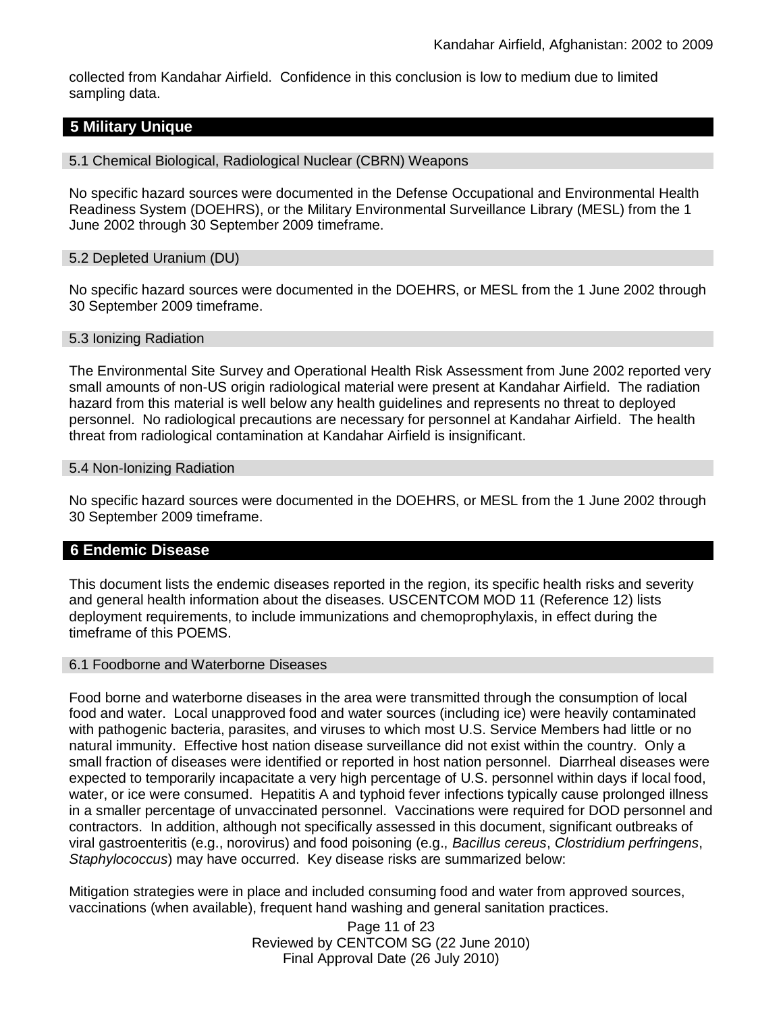collected from Kandahar Airfield. Confidence in this conclusion is low to medium due to limited sampling data.

# **5 Military Unique**

#### 5.1 Chemical Biological, Radiological Nuclear (CBRN) Weapons

No specific hazard sources were documented in the Defense Occupational and Environmental Health Readiness System (DOEHRS), or the Military Environmental Surveillance Library (MESL) from the 1 June 2002 through 30 September 2009 timeframe.

#### 5.2 Depleted Uranium (DU)

No specific hazard sources were documented in the DOEHRS, or MESL from the 1 June 2002 through 30 September 2009 timeframe.

#### 5.3 Ionizing Radiation

The Environmental Site Survey and Operational Health Risk Assessment from June 2002 reported very small amounts of non-US origin radiological material were present at Kandahar Airfield. The radiation hazard from this material is well below any health guidelines and represents no threat to deployed personnel. No radiological precautions are necessary for personnel at Kandahar Airfield. The health threat from radiological contamination at Kandahar Airfield is insignificant.

#### 5.4 Non-Ionizing Radiation

No specific hazard sources were documented in the DOEHRS, or MESL from the 1 June 2002 through 30 September 2009 timeframe.

### **6 Endemic Disease**

This document lists the endemic diseases reported in the region, its specific health risks and severity and general health information about the diseases. USCENTCOM MOD 11 (Reference 12) lists deployment requirements, to include immunizations and chemoprophylaxis, in effect during the timeframe of this POEMS.

#### 6.1 Foodborne and Waterborne Diseases

Food borne and waterborne diseases in the area were transmitted through the consumption of local food and water. Local unapproved food and water sources (including ice) were heavily contaminated with pathogenic bacteria, parasites, and viruses to which most U.S. Service Members had little or no natural immunity. Effective host nation disease surveillance did not exist within the country. Only a small fraction of diseases were identified or reported in host nation personnel. Diarrheal diseases were expected to temporarily incapacitate a very high percentage of U.S. personnel within days if local food, water, or ice were consumed. Hepatitis A and typhoid fever infections typically cause prolonged illness in a smaller percentage of unvaccinated personnel. Vaccinations were required for DOD personnel and contractors. In addition, although not specifically assessed in this document, significant outbreaks of viral gastroenteritis (e.g., norovirus) and food poisoning (e.g., *Bacillus cereus*, *Clostridium perfringens*, *Staphylococcus*) may have occurred. Key disease risks are summarized below:

Mitigation strategies were in place and included consuming food and water from approved sources, vaccinations (when available), frequent hand washing and general sanitation practices.

> Page 11 of 23 Reviewed by CENTCOM SG (22 June 2010) Final Approval Date (26 July 2010)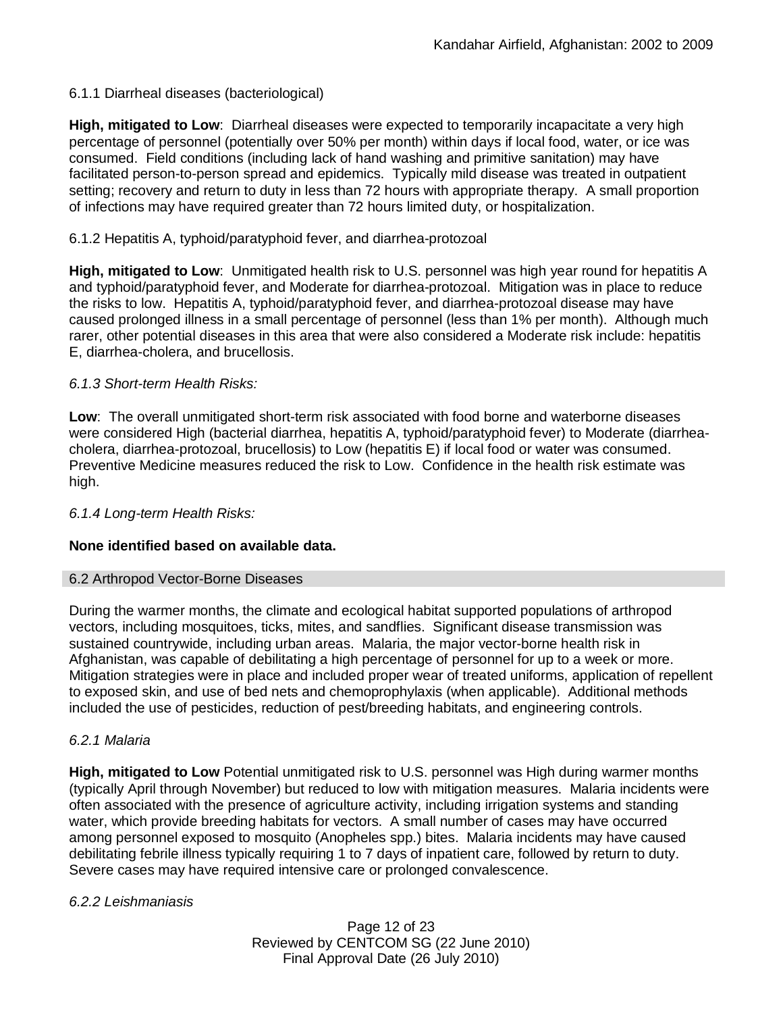# 6.1.1 Diarrheal diseases (bacteriological)

**High, mitigated to Low**: Diarrheal diseases were expected to temporarily incapacitate a very high percentage of personnel (potentially over 50% per month) within days if local food, water, or ice was consumed. Field conditions (including lack of hand washing and primitive sanitation) may have facilitated person-to-person spread and epidemics. Typically mild disease was treated in outpatient setting; recovery and return to duty in less than 72 hours with appropriate therapy. A small proportion of infections may have required greater than 72 hours limited duty, or hospitalization.

# 6.1.2 Hepatitis A, typhoid/paratyphoid fever, and diarrhea-protozoal

**High, mitigated to Low**: Unmitigated health risk to U.S. personnel was high year round for hepatitis A and typhoid/paratyphoid fever, and Moderate for diarrhea-protozoal. Mitigation was in place to reduce the risks to low. Hepatitis A, typhoid/paratyphoid fever, and diarrhea-protozoal disease may have caused prolonged illness in a small percentage of personnel (less than 1% per month). Although much rarer, other potential diseases in this area that were also considered a Moderate risk include: hepatitis E, diarrhea-cholera, and brucellosis.

# *6.1.3 Short-term Health Risks:*

**Low**: The overall unmitigated short-term risk associated with food borne and waterborne diseases were considered High (bacterial diarrhea, hepatitis A, typhoid/paratyphoid fever) to Moderate (diarrheacholera, diarrhea-protozoal, brucellosis) to Low (hepatitis E) if local food or water was consumed. Preventive Medicine measures reduced the risk to Low. Confidence in the health risk estimate was high.

# *6.1.4 Long-term Health Risks:*

# **None identified based on available data.**

# 6.2 Arthropod Vector-Borne Diseases

During the warmer months, the climate and ecological habitat supported populations of arthropod vectors, including mosquitoes, ticks, mites, and sandflies. Significant disease transmission was sustained countrywide, including urban areas. Malaria, the major vector-borne health risk in Afghanistan, was capable of debilitating a high percentage of personnel for up to a week or more. Mitigation strategies were in place and included proper wear of treated uniforms, application of repellent to exposed skin, and use of bed nets and chemoprophylaxis (when applicable). Additional methods included the use of pesticides, reduction of pest/breeding habitats, and engineering controls.

# *6.2.1 Malaria*

**High, mitigated to Low** Potential unmitigated risk to U.S. personnel was High during warmer months (typically April through November) but reduced to low with mitigation measures. Malaria incidents were often associated with the presence of agriculture activity, including irrigation systems and standing water, which provide breeding habitats for vectors. A small number of cases may have occurred among personnel exposed to mosquito (Anopheles spp.) bites. Malaria incidents may have caused debilitating febrile illness typically requiring 1 to 7 days of inpatient care, followed by return to duty. Severe cases may have required intensive care or prolonged convalescence.

# *6.2.2 Leishmaniasis*

Page 12 of 23 Reviewed by CENTCOM SG (22 June 2010) Final Approval Date (26 July 2010)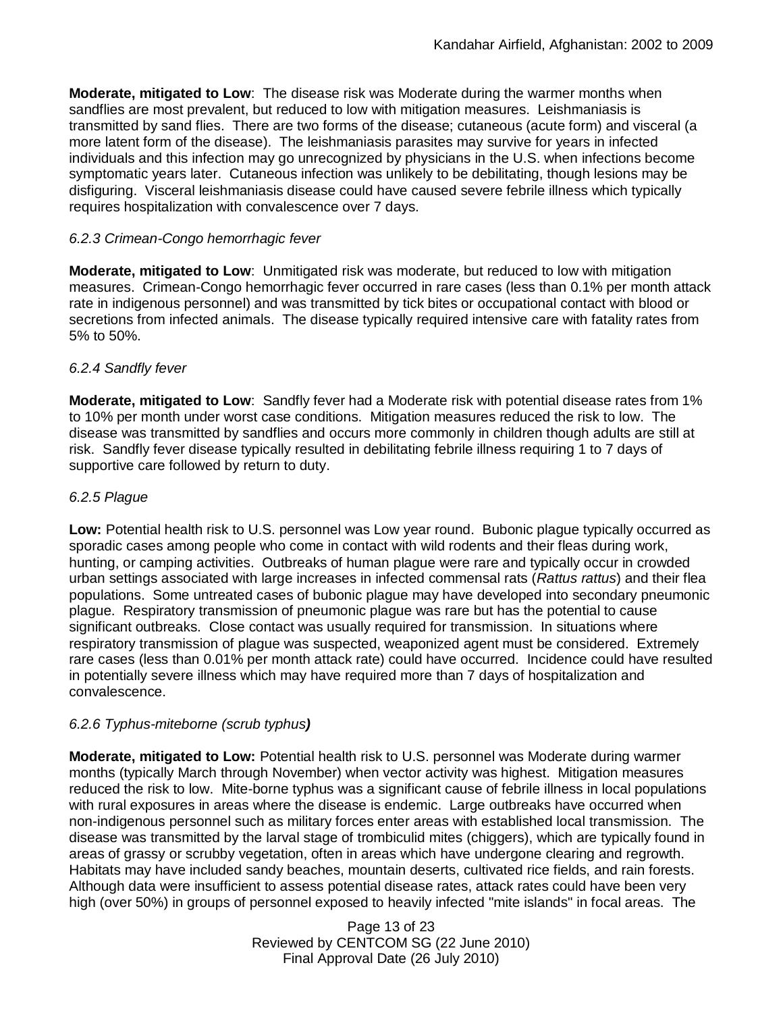**Moderate, mitigated to Low**: The disease risk was Moderate during the warmer months when sandflies are most prevalent, but reduced to low with mitigation measures. Leishmaniasis is transmitted by sand flies. There are two forms of the disease; cutaneous (acute form) and visceral (a more latent form of the disease). The leishmaniasis parasites may survive for years in infected individuals and this infection may go unrecognized by physicians in the U.S. when infections become symptomatic years later. Cutaneous infection was unlikely to be debilitating, though lesions may be disfiguring. Visceral leishmaniasis disease could have caused severe febrile illness which typically requires hospitalization with convalescence over 7 days.

# *6.2.3 Crimean-Congo hemorrhagic fever*

**Moderate, mitigated to Low**: Unmitigated risk was moderate, but reduced to low with mitigation measures. Crimean-Congo hemorrhagic fever occurred in rare cases (less than 0.1% per month attack rate in indigenous personnel) and was transmitted by tick bites or occupational contact with blood or secretions from infected animals. The disease typically required intensive care with fatality rates from 5% to 50%.

# *6.2.4 Sandfly fever*

**Moderate, mitigated to Low**: Sandfly fever had a Moderate risk with potential disease rates from 1% to 10% per month under worst case conditions. Mitigation measures reduced the risk to low. The disease was transmitted by sandflies and occurs more commonly in children though adults are still at risk. Sandfly fever disease typically resulted in debilitating febrile illness requiring 1 to 7 days of supportive care followed by return to duty.

# *6.2.5 Plague*

**Low:** Potential health risk to U.S. personnel was Low year round. Bubonic plague typically occurred as sporadic cases among people who come in contact with wild rodents and their fleas during work, hunting, or camping activities. Outbreaks of human plague were rare and typically occur in crowded urban settings associated with large increases in infected commensal rats (*Rattus rattus*) and their flea populations. Some untreated cases of bubonic plague may have developed into secondary pneumonic plague. Respiratory transmission of pneumonic plague was rare but has the potential to cause significant outbreaks. Close contact was usually required for transmission. In situations where respiratory transmission of plague was suspected, weaponized agent must be considered. Extremely rare cases (less than 0.01% per month attack rate) could have occurred. Incidence could have resulted in potentially severe illness which may have required more than 7 days of hospitalization and convalescence.

# *6.2.6 Typhus-miteborne (scrub typhus)*

**Moderate, mitigated to Low:** Potential health risk to U.S. personnel was Moderate during warmer months (typically March through November) when vector activity was highest. Mitigation measures reduced the risk to low. Mite-borne typhus was a significant cause of febrile illness in local populations with rural exposures in areas where the disease is endemic. Large outbreaks have occurred when non-indigenous personnel such as military forces enter areas with established local transmission. The disease was transmitted by the larval stage of trombiculid mites (chiggers), which are typically found in areas of grassy or scrubby vegetation, often in areas which have undergone clearing and regrowth. Habitats may have included sandy beaches, mountain deserts, cultivated rice fields, and rain forests. Although data were insufficient to assess potential disease rates, attack rates could have been very high (over 50%) in groups of personnel exposed to heavily infected "mite islands" in focal areas. The

> Page 13 of 23 Reviewed by CENTCOM SG (22 June 2010) Final Approval Date (26 July 2010)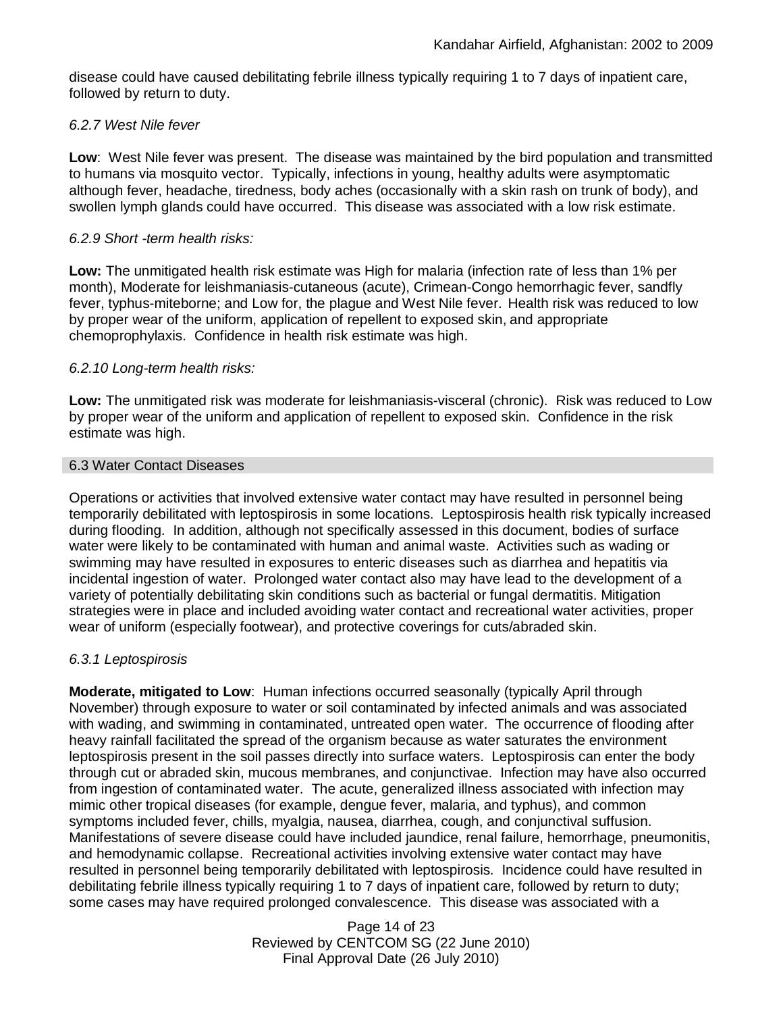disease could have caused debilitating febrile illness typically requiring 1 to 7 days of inpatient care, followed by return to duty.

# *6.2.7 West Nile fever*

**Low**: West Nile fever was present. The disease was maintained by the bird population and transmitted to humans via mosquito vector. Typically, infections in young, healthy adults were asymptomatic although fever, headache, tiredness, body aches (occasionally with a skin rash on trunk of body), and swollen lymph glands could have occurred. This disease was associated with a low risk estimate.

# *6.2.9 Short -term health risks:*

**Low:** The unmitigated health risk estimate was High for malaria (infection rate of less than 1% per month), Moderate for leishmaniasis-cutaneous (acute), Crimean-Congo hemorrhagic fever, sandfly fever, typhus-miteborne; and Low for, the plague and West Nile fever. Health risk was reduced to low by proper wear of the uniform, application of repellent to exposed skin, and appropriate chemoprophylaxis. Confidence in health risk estimate was high.

# *6.2.10 Long-term health risks:*

**Low:** The unmitigated risk was moderate for leishmaniasis-visceral (chronic). Risk was reduced to Low by proper wear of the uniform and application of repellent to exposed skin. Confidence in the risk estimate was high.

# 6.3 Water Contact Diseases

Operations or activities that involved extensive water contact may have resulted in personnel being temporarily debilitated with leptospirosis in some locations. Leptospirosis health risk typically increased during flooding. In addition, although not specifically assessed in this document, bodies of surface water were likely to be contaminated with human and animal waste. Activities such as wading or swimming may have resulted in exposures to enteric diseases such as diarrhea and hepatitis via incidental ingestion of water. Prolonged water contact also may have lead to the development of a variety of potentially debilitating skin conditions such as bacterial or fungal dermatitis. Mitigation strategies were in place and included avoiding water contact and recreational water activities, proper wear of uniform (especially footwear), and protective coverings for cuts/abraded skin.

# *6.3.1 Leptospirosis*

**Moderate, mitigated to Low**: Human infections occurred seasonally (typically April through November) through exposure to water or soil contaminated by infected animals and was associated with wading, and swimming in contaminated, untreated open water. The occurrence of flooding after heavy rainfall facilitated the spread of the organism because as water saturates the environment leptospirosis present in the soil passes directly into surface waters. Leptospirosis can enter the body through cut or abraded skin, mucous membranes, and conjunctivae. Infection may have also occurred from ingestion of contaminated water. The acute, generalized illness associated with infection may mimic other tropical diseases (for example, dengue fever, malaria, and typhus), and common symptoms included fever, chills, myalgia, nausea, diarrhea, cough, and conjunctival suffusion. Manifestations of severe disease could have included jaundice, renal failure, hemorrhage, pneumonitis, and hemodynamic collapse. Recreational activities involving extensive water contact may have resulted in personnel being temporarily debilitated with leptospirosis. Incidence could have resulted in debilitating febrile illness typically requiring 1 to 7 days of inpatient care, followed by return to duty; some cases may have required prolonged convalescence. This disease was associated with a

> Page 14 of 23 Reviewed by CENTCOM SG (22 June 2010) Final Approval Date (26 July 2010)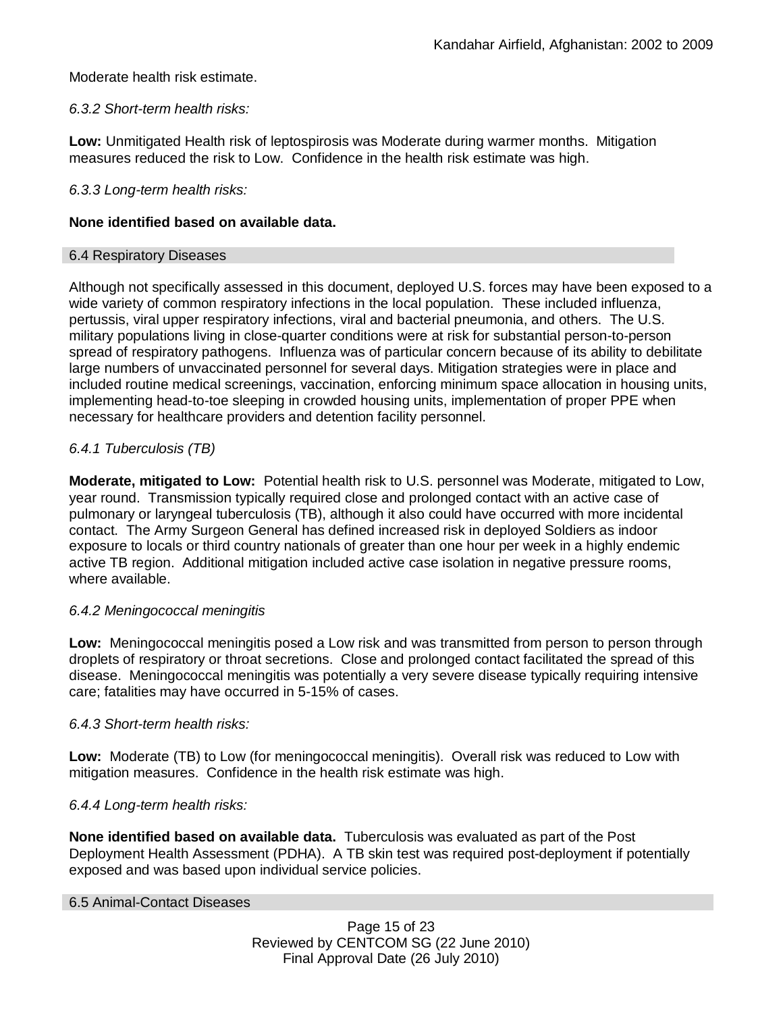# Moderate health risk estimate.

# *6.3.2 Short-term health risks:*

**Low:** Unmitigated Health risk of leptospirosis was Moderate during warmer months. Mitigation measures reduced the risk to Low. Confidence in the health risk estimate was high.

### *6.3.3 Long-term health risks:*

### **None identified based on available data.**

### 6.4 Respiratory Diseases

Although not specifically assessed in this document, deployed U.S. forces may have been exposed to a wide variety of common respiratory infections in the local population. These included influenza, pertussis, viral upper respiratory infections, viral and bacterial pneumonia, and others. The U.S. military populations living in close-quarter conditions were at risk for substantial person-to-person spread of respiratory pathogens. Influenza was of particular concern because of its ability to debilitate large numbers of unvaccinated personnel for several days. Mitigation strategies were in place and included routine medical screenings, vaccination, enforcing minimum space allocation in housing units, implementing head-to-toe sleeping in crowded housing units, implementation of proper PPE when necessary for healthcare providers and detention facility personnel.

# *6.4.1 Tuberculosis (TB)*

**Moderate, mitigated to Low:** Potential health risk to U.S. personnel was Moderate, mitigated to Low, year round. Transmission typically required close and prolonged contact with an active case of pulmonary or laryngeal tuberculosis (TB), although it also could have occurred with more incidental contact. The Army Surgeon General has defined increased risk in deployed Soldiers as indoor exposure to locals or third country nationals of greater than one hour per week in a highly endemic active TB region. Additional mitigation included active case isolation in negative pressure rooms, where available.

# *6.4.2 Meningococcal meningitis*

**Low:** Meningococcal meningitis posed a Low risk and was transmitted from person to person through droplets of respiratory or throat secretions. Close and prolonged contact facilitated the spread of this disease. Meningococcal meningitis was potentially a very severe disease typically requiring intensive care; fatalities may have occurred in 5-15% of cases.

# *6.4.3 Short-term health risks:*

**Low:** Moderate (TB) to Low (for meningococcal meningitis). Overall risk was reduced to Low with mitigation measures. Confidence in the health risk estimate was high.

# *6.4.4 Long-term health risks:*

**None identified based on available data.** Tuberculosis was evaluated as part of the Post Deployment Health Assessment (PDHA). A TB skin test was required post-deployment if potentially exposed and was based upon individual service policies.

### 6.5 Animal-Contact Diseases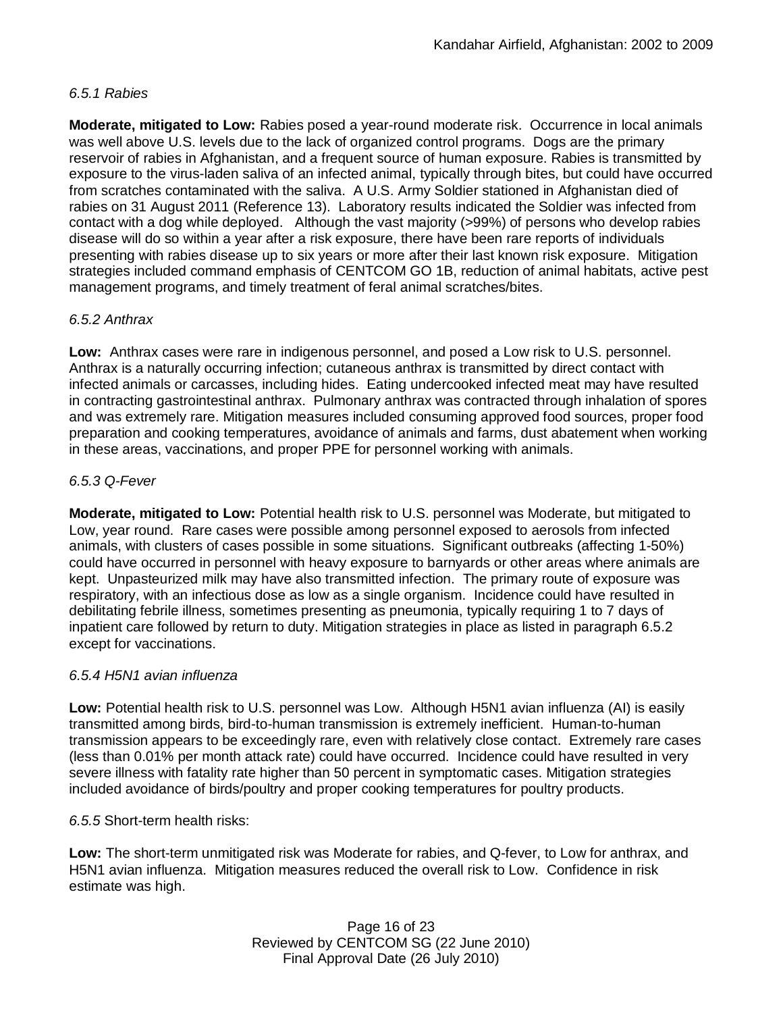# *6.5.1 Rabies*

**Moderate, mitigated to Low:** Rabies posed a year-round moderate risk. Occurrence in local animals was well above U.S. levels due to the lack of organized control programs. Dogs are the primary reservoir of rabies in Afghanistan, and a frequent source of human exposure. Rabies is transmitted by exposure to the virus-laden saliva of an infected animal, typically through bites, but could have occurred from scratches contaminated with the saliva. A U.S. Army Soldier stationed in Afghanistan died of rabies on 31 August 2011 (Reference 13). Laboratory results indicated the Soldier was infected from contact with a dog while deployed. Although the vast majority (>99%) of persons who develop rabies disease will do so within a year after a risk exposure, there have been rare reports of individuals presenting with rabies disease up to six years or more after their last known risk exposure. Mitigation strategies included command emphasis of CENTCOM GO 1B, reduction of animal habitats, active pest management programs, and timely treatment of feral animal scratches/bites.

# *6.5.2 Anthrax*

**Low:** Anthrax cases were rare in indigenous personnel, and posed a Low risk to U.S. personnel. Anthrax is a naturally occurring infection; cutaneous anthrax is transmitted by direct contact with infected animals or carcasses, including hides. Eating undercooked infected meat may have resulted in contracting gastrointestinal anthrax. Pulmonary anthrax was contracted through inhalation of spores and was extremely rare. Mitigation measures included consuming approved food sources, proper food preparation and cooking temperatures, avoidance of animals and farms, dust abatement when working in these areas, vaccinations, and proper PPE for personnel working with animals.

# *6.5.3 Q-Fever*

**Moderate, mitigated to Low:** Potential health risk to U.S. personnel was Moderate, but mitigated to Low, year round. Rare cases were possible among personnel exposed to aerosols from infected animals, with clusters of cases possible in some situations. Significant outbreaks (affecting 1-50%) could have occurred in personnel with heavy exposure to barnyards or other areas where animals are kept. Unpasteurized milk may have also transmitted infection. The primary route of exposure was respiratory, with an infectious dose as low as a single organism. Incidence could have resulted in debilitating febrile illness, sometimes presenting as pneumonia, typically requiring 1 to 7 days of inpatient care followed by return to duty. Mitigation strategies in place as listed in paragraph 6.5.2 except for vaccinations.

# *6.5.4 H5N1 avian influenza*

**Low:** Potential health risk to U.S. personnel was Low. Although H5N1 avian influenza (AI) is easily transmitted among birds, bird-to-human transmission is extremely inefficient. Human-to-human transmission appears to be exceedingly rare, even with relatively close contact. Extremely rare cases (less than 0.01% per month attack rate) could have occurred. Incidence could have resulted in very severe illness with fatality rate higher than 50 percent in symptomatic cases. Mitigation strategies included avoidance of birds/poultry and proper cooking temperatures for poultry products.

*6.5.5* Short-term health risks:

**Low:** The short-term unmitigated risk was Moderate for rabies, and Q-fever, to Low for anthrax, and H5N1 avian influenza. Mitigation measures reduced the overall risk to Low. Confidence in risk estimate was high.

> Page 16 of 23 Reviewed by CENTCOM SG (22 June 2010) Final Approval Date (26 July 2010)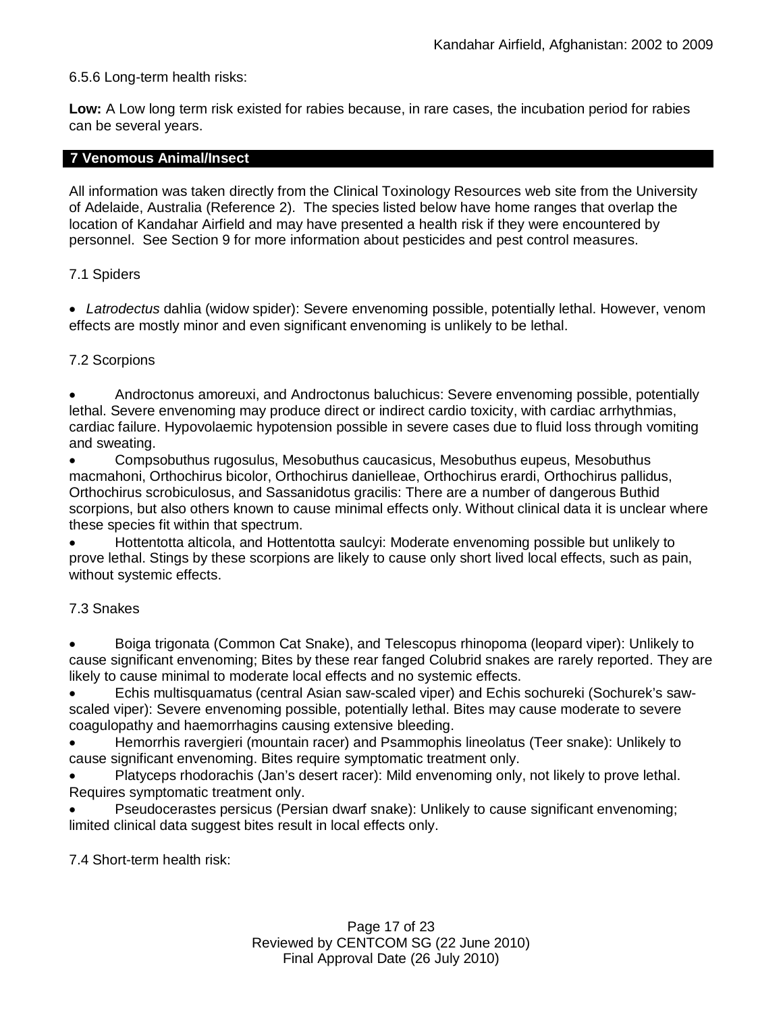### 6.5.6 Long-term health risks:

**Low:** A Low long term risk existed for rabies because, in rare cases, the incubation period for rabies can be several years.

### **7 Venomous Animal/Insect**

All information was taken directly from the Clinical Toxinology Resources web site from the University of Adelaide, Australia (Reference 2). The species listed below have home ranges that overlap the location of Kandahar Airfield and may have presented a health risk if they were encountered by personnel. See Section 9 for more information about pesticides and pest control measures.

### 7.1 Spiders

 *Latrodectus* dahlia (widow spider): Severe envenoming possible, potentially lethal. However, venom effects are mostly minor and even significant envenoming is unlikely to be lethal.

### 7.2 Scorpions

 Androctonus amoreuxi, and Androctonus baluchicus: Severe envenoming possible, potentially lethal. Severe envenoming may produce direct or indirect cardio toxicity, with cardiac arrhythmias, cardiac failure. Hypovolaemic hypotension possible in severe cases due to fluid loss through vomiting and sweating.

 Compsobuthus rugosulus, Mesobuthus caucasicus, Mesobuthus eupeus, Mesobuthus macmahoni, Orthochirus bicolor, Orthochirus danielleae, Orthochirus erardi, Orthochirus pallidus, Orthochirus scrobiculosus, and Sassanidotus gracilis: There are a number of dangerous Buthid scorpions, but also others known to cause minimal effects only. Without clinical data it is unclear where these species fit within that spectrum.

 Hottentotta alticola, and Hottentotta saulcyi: Moderate envenoming possible but unlikely to prove lethal. Stings by these scorpions are likely to cause only short lived local effects, such as pain, without systemic effects.

### 7.3 Snakes

 Boiga trigonata (Common Cat Snake), and Telescopus rhinopoma (leopard viper): Unlikely to cause significant envenoming; Bites by these rear fanged Colubrid snakes are rarely reported. They are likely to cause minimal to moderate local effects and no systemic effects.

 Echis multisquamatus (central Asian saw-scaled viper) and Echis sochureki (Sochurek's sawscaled viper): Severe envenoming possible, potentially lethal. Bites may cause moderate to severe coagulopathy and haemorrhagins causing extensive bleeding.

 Hemorrhis ravergieri (mountain racer) and Psammophis lineolatus (Teer snake): Unlikely to cause significant envenoming. Bites require symptomatic treatment only.

 Platyceps rhodorachis (Jan's desert racer): Mild envenoming only, not likely to prove lethal. Requires symptomatic treatment only.

 Pseudocerastes persicus (Persian dwarf snake): Unlikely to cause significant envenoming; limited clinical data suggest bites result in local effects only.

7.4 Short-term health risk: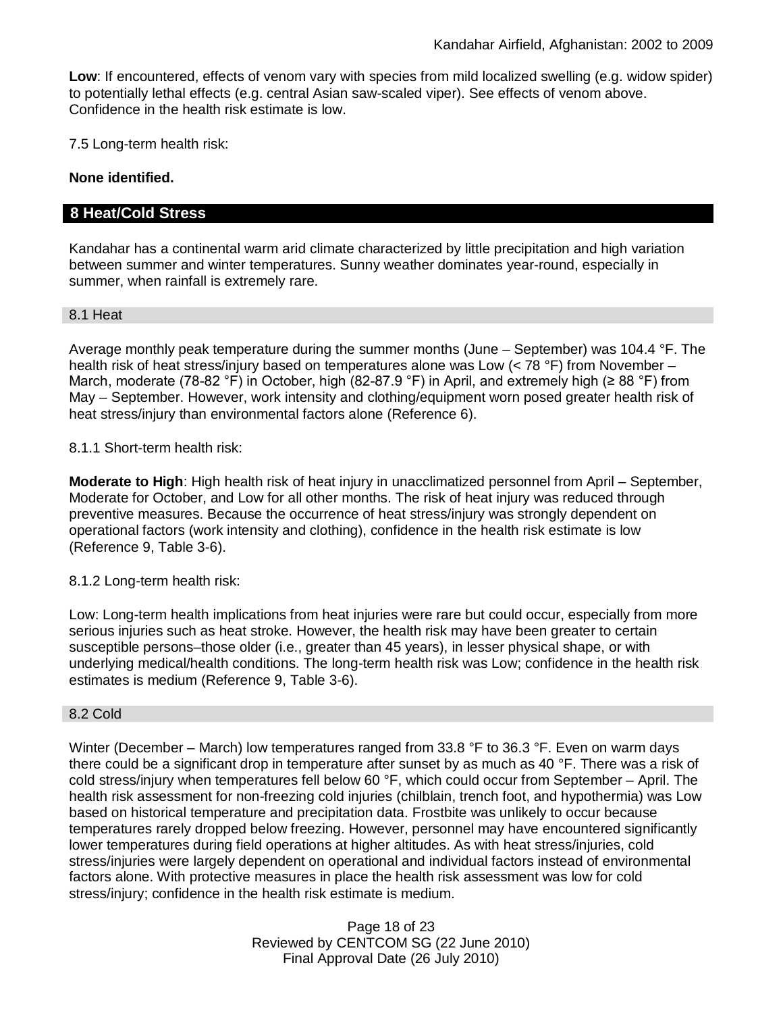**Low**: If encountered, effects of venom vary with species from mild localized swelling (e.g. widow spider) to potentially lethal effects (e.g. central Asian saw-scaled viper). See effects of venom above. Confidence in the health risk estimate is low.

7.5 Long-term health risk:

### **None identified.**

# **8 Heat/Cold Stress**

Kandahar has a continental warm arid climate characterized by little precipitation and high variation between summer and winter temperatures. Sunny weather dominates year-round, especially in summer, when rainfall is extremely rare.

### 8.1 Heat

Average monthly peak temperature during the summer months (June – September) was 104.4 °F. The health risk of heat stress/injury based on temperatures alone was Low (< 78 °F) from November – March, moderate (78-82 °F) in October, high (82-87.9 °F) in April, and extremely high (≥ 88 °F) from May – September. However, work intensity and clothing/equipment worn posed greater health risk of heat stress/injury than environmental factors alone (Reference 6).

### 8.1.1 Short-term health risk:

**Moderate to High**: High health risk of heat injury in unacclimatized personnel from April – September, Moderate for October, and Low for all other months. The risk of heat injury was reduced through preventive measures. Because the occurrence of heat stress/injury was strongly dependent on operational factors (work intensity and clothing), confidence in the health risk estimate is low (Reference 9, Table 3-6).

### 8.1.2 Long-term health risk:

Low: Long-term health implications from heat injuries were rare but could occur, especially from more serious injuries such as heat stroke. However, the health risk may have been greater to certain susceptible persons–those older (i.e., greater than 45 years), in lesser physical shape, or with underlying medical/health conditions. The long-term health risk was Low; confidence in the health risk estimates is medium (Reference 9, Table 3-6).

### 8.2 Cold

Winter (December – March) low temperatures ranged from 33.8 °F to 36.3 °F. Even on warm days there could be a significant drop in temperature after sunset by as much as 40 °F. There was a risk of cold stress/injury when temperatures fell below 60 °F, which could occur from September – April. The health risk assessment for non-freezing cold injuries (chilblain, trench foot, and hypothermia) was Low based on historical temperature and precipitation data. Frostbite was unlikely to occur because temperatures rarely dropped below freezing. However, personnel may have encountered significantly lower temperatures during field operations at higher altitudes. As with heat stress/injuries, cold stress/injuries were largely dependent on operational and individual factors instead of environmental factors alone. With protective measures in place the health risk assessment was low for cold stress/injury; confidence in the health risk estimate is medium.

> Page 18 of 23 Reviewed by CENTCOM SG (22 June 2010) Final Approval Date (26 July 2010)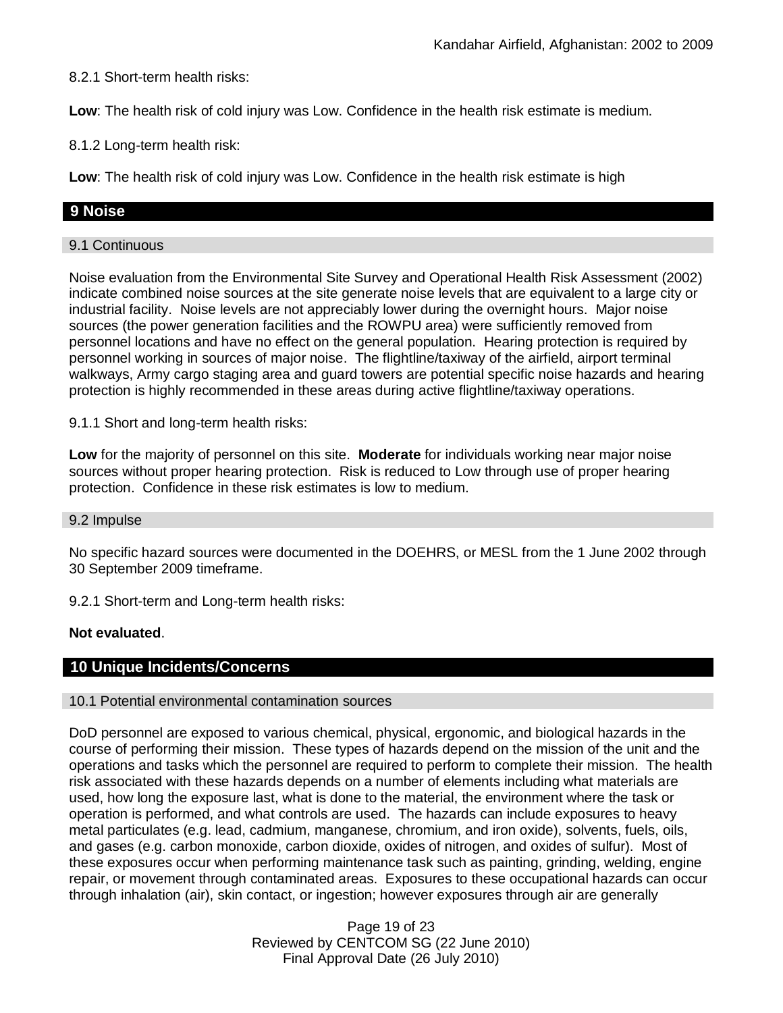8.2.1 Short-term health risks:

**Low**: The health risk of cold injury was Low. Confidence in the health risk estimate is medium.

8.1.2 Long-term health risk:

**Low**: The health risk of cold injury was Low. Confidence in the health risk estimate is high

# **9 Noise**

### 9.1 Continuous

Noise evaluation from the Environmental Site Survey and Operational Health Risk Assessment (2002) indicate combined noise sources at the site generate noise levels that are equivalent to a large city or industrial facility. Noise levels are not appreciably lower during the overnight hours. Major noise sources (the power generation facilities and the ROWPU area) were sufficiently removed from personnel locations and have no effect on the general population. Hearing protection is required by personnel working in sources of major noise. The flightline/taxiway of the airfield, airport terminal walkways, Army cargo staging area and guard towers are potential specific noise hazards and hearing protection is highly recommended in these areas during active flightline/taxiway operations.

9.1.1 Short and long-term health risks:

**Low** for the majority of personnel on this site. **Moderate** for individuals working near major noise sources without proper hearing protection. Risk is reduced to Low through use of proper hearing protection. Confidence in these risk estimates is low to medium.

### 9.2 Impulse

No specific hazard sources were documented in the DOEHRS, or MESL from the 1 June 2002 through 30 September 2009 timeframe.

9.2.1 Short-term and Long-term health risks:

### **Not evaluated**.

# **10 Unique Incidents/Concerns**

### 10.1 Potential environmental contamination sources

DoD personnel are exposed to various chemical, physical, ergonomic, and biological hazards in the course of performing their mission. These types of hazards depend on the mission of the unit and the operations and tasks which the personnel are required to perform to complete their mission. The health risk associated with these hazards depends on a number of elements including what materials are used, how long the exposure last, what is done to the material, the environment where the task or operation is performed, and what controls are used. The hazards can include exposures to heavy metal particulates (e.g. lead, cadmium, manganese, chromium, and iron oxide), solvents, fuels, oils, and gases (e.g. carbon monoxide, carbon dioxide, oxides of nitrogen, and oxides of sulfur). Most of these exposures occur when performing maintenance task such as painting, grinding, welding, engine repair, or movement through contaminated areas. Exposures to these occupational hazards can occur through inhalation (air), skin contact, or ingestion; however exposures through air are generally

> Page 19 of 23 Reviewed by CENTCOM SG (22 June 2010) Final Approval Date (26 July 2010)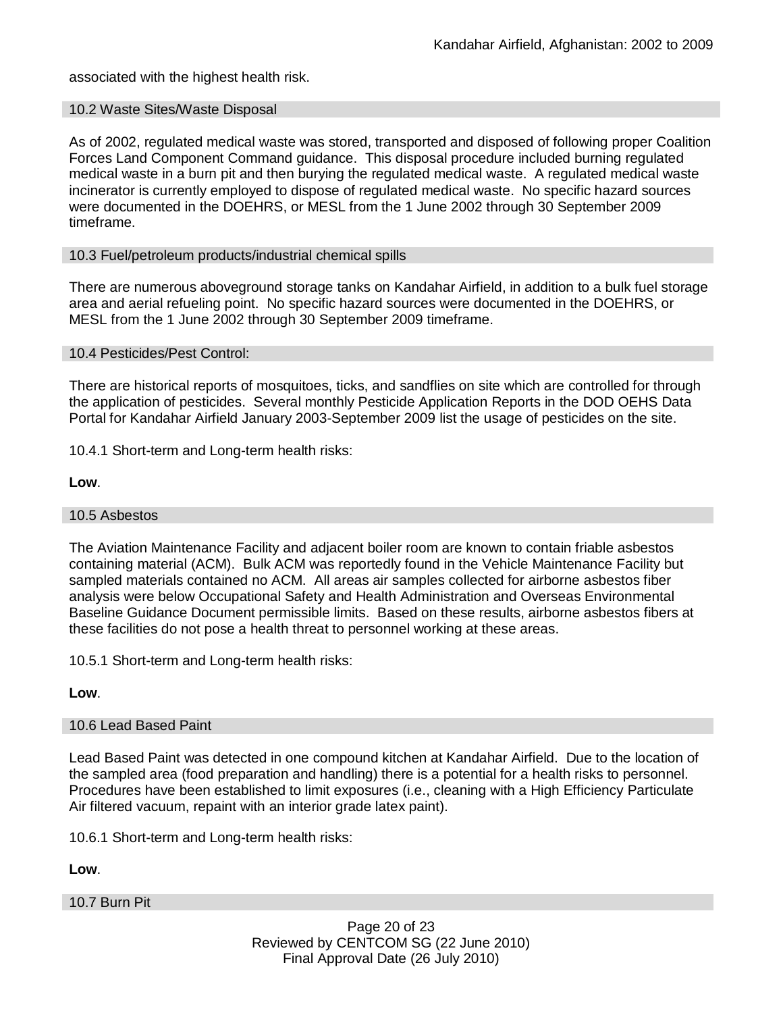associated with the highest health risk.

### 10.2 Waste Sites/Waste Disposal

As of 2002, regulated medical waste was stored, transported and disposed of following proper Coalition Forces Land Component Command guidance. This disposal procedure included burning regulated medical waste in a burn pit and then burying the regulated medical waste. A regulated medical waste incinerator is currently employed to dispose of regulated medical waste. No specific hazard sources were documented in the DOEHRS, or MESL from the 1 June 2002 through 30 September 2009 timeframe.

### 10.3 Fuel/petroleum products/industrial chemical spills

There are numerous aboveground storage tanks on Kandahar Airfield, in addition to a bulk fuel storage area and aerial refueling point. No specific hazard sources were documented in the DOEHRS, or MESL from the 1 June 2002 through 30 September 2009 timeframe.

### 10.4 Pesticides/Pest Control:

There are historical reports of mosquitoes, ticks, and sandflies on site which are controlled for through the application of pesticides. Several monthly Pesticide Application Reports in the DOD OEHS Data Portal for Kandahar Airfield January 2003-September 2009 list the usage of pesticides on the site.

10.4.1 Short-term and Long-term health risks:

**Low**.

### 10.5 Asbestos

The Aviation Maintenance Facility and adjacent boiler room are known to contain friable asbestos containing material (ACM). Bulk ACM was reportedly found in the Vehicle Maintenance Facility but sampled materials contained no ACM. All areas air samples collected for airborne asbestos fiber analysis were below Occupational Safety and Health Administration and Overseas Environmental Baseline Guidance Document permissible limits. Based on these results, airborne asbestos fibers at these facilities do not pose a health threat to personnel working at these areas.

10.5.1 Short-term and Long-term health risks:

**Low**.

# 10.6 Lead Based Paint

Lead Based Paint was detected in one compound kitchen at Kandahar Airfield. Due to the location of the sampled area (food preparation and handling) there is a potential for a health risks to personnel. Procedures have been established to limit exposures (i.e., cleaning with a High Efficiency Particulate Air filtered vacuum, repaint with an interior grade latex paint).

10.6.1 Short-term and Long-term health risks:

**Low**.

### 10.7 Burn Pit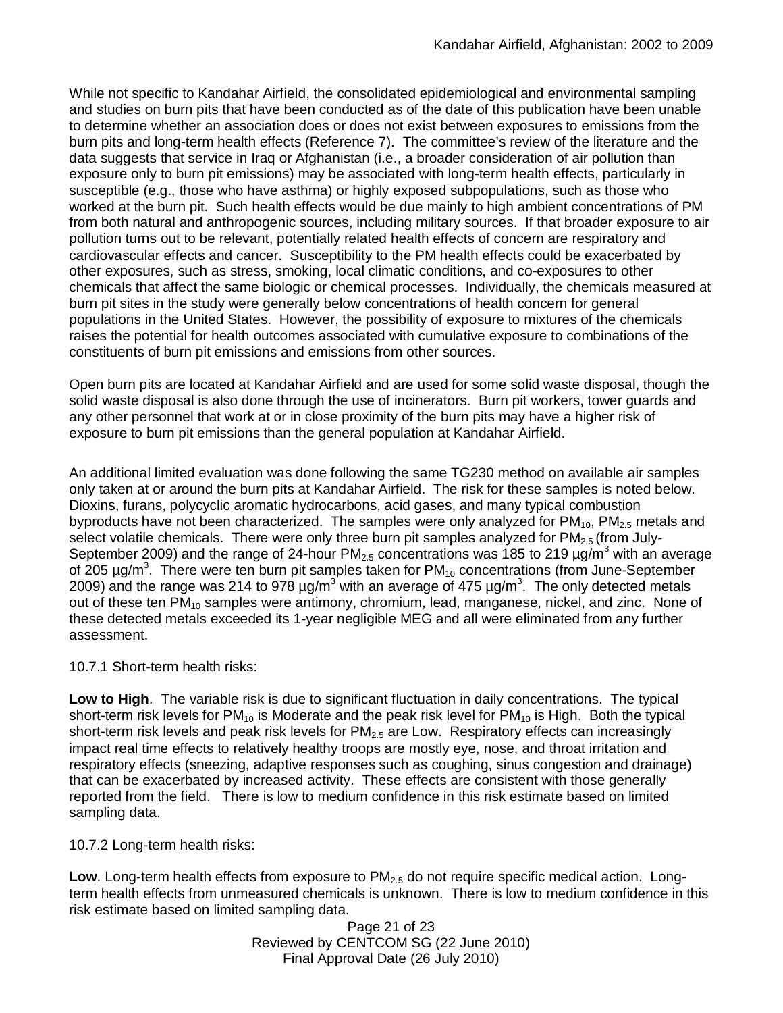While not specific to Kandahar Airfield, the consolidated epidemiological and environmental sampling and studies on burn pits that have been conducted as of the date of this publication have been unable to determine whether an association does or does not exist between exposures to emissions from the burn pits and long-term health effects (Reference 7). The committee's review of the literature and the data suggests that service in Iraq or Afghanistan (i.e., a broader consideration of air pollution than exposure only to burn pit emissions) may be associated with long-term health effects, particularly in susceptible (e.g., those who have asthma) or highly exposed subpopulations, such as those who worked at the burn pit. Such health effects would be due mainly to high ambient concentrations of PM from both natural and anthropogenic sources, including military sources. If that broader exposure to air pollution turns out to be relevant, potentially related health effects of concern are respiratory and cardiovascular effects and cancer. Susceptibility to the PM health effects could be exacerbated by other exposures, such as stress, smoking, local climatic conditions, and co-exposures to other chemicals that affect the same biologic or chemical processes. Individually, the chemicals measured at burn pit sites in the study were generally below concentrations of health concern for general populations in the United States. However, the possibility of exposure to mixtures of the chemicals raises the potential for health outcomes associated with cumulative exposure to combinations of the constituents of burn pit emissions and emissions from other sources.

Open burn pits are located at Kandahar Airfield and are used for some solid waste disposal, though the solid waste disposal is also done through the use of incinerators. Burn pit workers, tower guards and any other personnel that work at or in close proximity of the burn pits may have a higher risk of exposure to burn pit emissions than the general population at Kandahar Airfield.

An additional limited evaluation was done following the same TG230 method on available air samples only taken at or around the burn pits at Kandahar Airfield. The risk for these samples is noted below. Dioxins, furans, polycyclic aromatic hydrocarbons, acid gases, and many typical combustion byproducts have not been characterized. The samples were only analyzed for  $PM_{10}$ ,  $PM_{2.5}$  metals and select volatile chemicals. There were only three burn pit samples analyzed for  $PM<sub>2.5</sub>$  (from July-September 2009) and the range of 24-hour PM<sub>2.5</sub> concentrations was 185 to 219  $\mu\alpha/m^3$  with an average of 205 µg/m<sup>3</sup>. There were ten burn pit samples taken for PM<sub>10</sub> concentrations (from June-September 2009) and the range was 214 to 978  $\mu$ g/m<sup>3</sup> with an average of 475  $\mu$ g/m<sup>3</sup>. The only detected metals out of these ten PM<sub>10</sub> samples were antimony, chromium, lead, manganese, nickel, and zinc. None of these detected metals exceeded its 1-year negligible MEG and all were eliminated from any further assessment.

10.7.1 Short-term health risks:

**Low to High**. The variable risk is due to significant fluctuation in daily concentrations. The typical short-term risk levels for  $PM_{10}$  is Moderate and the peak risk level for  $PM_{10}$  is High. Both the typical short-term risk levels and peak risk levels for  $PM<sub>2.5</sub>$  are Low. Respiratory effects can increasingly impact real time effects to relatively healthy troops are mostly eye, nose, and throat irritation and respiratory effects (sneezing, adaptive responses such as coughing, sinus congestion and drainage) that can be exacerbated by increased activity. These effects are consistent with those generally reported from the field. There is low to medium confidence in this risk estimate based on limited sampling data.

10.7.2 Long-term health risks:

**Low**. Long-term health effects from exposure to PM<sub>2.5</sub> do not require specific medical action. Longterm health effects from unmeasured chemicals is unknown. There is low to medium confidence in this risk estimate based on limited sampling data.

Page 21 of 23 Reviewed by CENTCOM SG (22 June 2010) Final Approval Date (26 July 2010)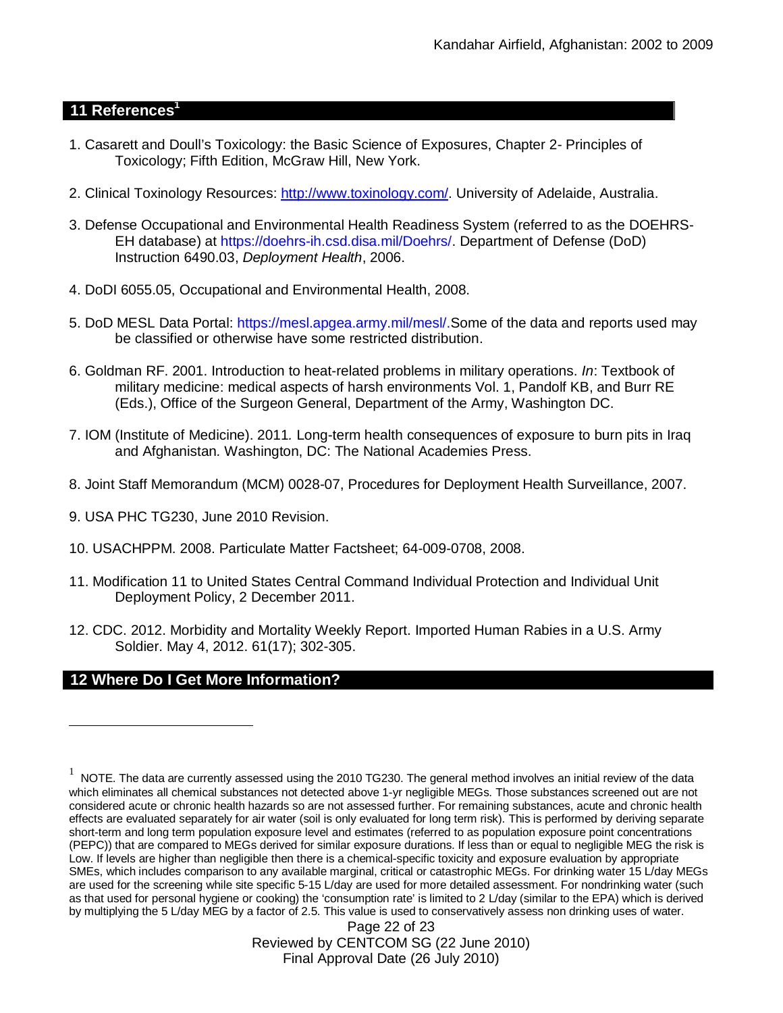# **11 References<sup>1</sup>**

- 1. Casarett and Doull's Toxicology: the Basic Science of Exposures, Chapter 2- Principles of Toxicology; Fifth Edition, McGraw Hill, New York.
- 2. Clinical Toxinology Resources: http://www.toxinology.com/. University of Adelaide, Australia.
- 3. Defense Occupational and Environmental Health Readiness System (referred to as the DOEHRS-EH database) at https://doehrs-ih.csd.disa.mil/Doehrs/. Department of Defense (DoD) Instruction 6490.03, *Deployment Health*, 2006.
- 4. DoDI 6055.05, Occupational and Environmental Health, 2008.
- 5. DoD MESL Data Portal: https://mesl.apgea.army.mil/mesl/.Some of the data and reports used may be classified or otherwise have some restricted distribution.
- 6. Goldman RF. 2001. Introduction to heat-related problems in military operations. *In*: Textbook of military medicine: medical aspects of harsh environments Vol. 1, Pandolf KB, and Burr RE (Eds.), Office of the Surgeon General, Department of the Army, Washington DC.
- 7. IOM (Institute of Medicine). 2011*.* Long-term health consequences of exposure to burn pits in Iraq and Afghanistan*.* Washington, DC: The National Academies Press.
- 8. Joint Staff Memorandum (MCM) 0028-07, Procedures for Deployment Health Surveillance, 2007.
- 9. USA PHC TG230, June 2010 Revision.
- 10. USACHPPM. 2008. Particulate Matter Factsheet; 64-009-0708, 2008.
- 11. Modification 11 to United States Central Command Individual Protection and Individual Unit Deployment Policy, 2 December 2011.
- 12. CDC. 2012. Morbidity and Mortality Weekly Report. Imported Human Rabies in a U.S. Army Soldier. May 4, 2012. 61(17); 302-305.

# **12 Where Do I Get More Information?**

Page 22 of 23 Reviewed by CENTCOM SG (22 June 2010) Final Approval Date (26 July 2010)

 $^1$  NOTE. The data are currently assessed using the 2010 TG230. The general method involves an initial review of the data which eliminates all chemical substances not detected above 1-yr negligible MEGs. Those substances screened out are not considered acute or chronic health hazards so are not assessed further. For remaining substances, acute and chronic health effects are evaluated separately for air water (soil is only evaluated for long term risk). This is performed by deriving separate short-term and long term population exposure level and estimates (referred to as population exposure point concentrations (PEPC)) that are compared to MEGs derived for similar exposure durations. If less than or equal to negligible MEG the risk is Low. If levels are higher than negligible then there is a chemical-specific toxicity and exposure evaluation by appropriate SMEs, which includes comparison to any available marginal, critical or catastrophic MEGs. For drinking water 15 L/day MEGs are used for the screening while site specific 5-15 L/day are used for more detailed assessment. For nondrinking water (such as that used for personal hygiene or cooking) the 'consumption rate' is limited to 2 L/day (similar to the EPA) which is derived by multiplying the 5 L/day MEG by a factor of 2.5. This value is used to conservatively assess non drinking uses of water.